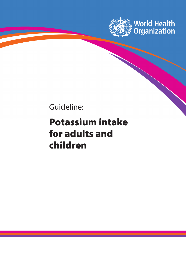

Guideline:

# Potassium intake for adults and children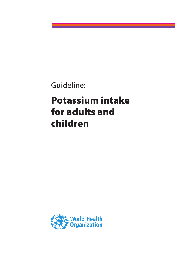Guideline:

# Potassium intake for adults and children

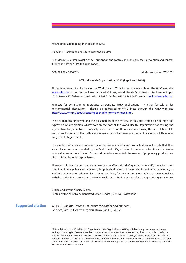WHO Library Cataloguing-in-Publication Data

Guideline<sup>1</sup>: Potassium intake for adults and children.

1.Potassium. 2.Potassium deficiency – prevention and control. 3.Chronic disease – prevention and control. 4.Guideline. I.World Health Organization.

ISBN 978 92 4 150482 9 (NLM classification: WD 105)

#### © World Health Organization, 2012 (Reprinted, 2014)

All rights reserved. Publications of the World Health Organization are available on the WHO web site (www.who.int) or can be purchased from WHO Press, World Health Organization, 20 Avenue Appia, 1211 Geneva 27, Switzerland (tel.: +41 22 791 3264; fax: +41 22 791 4857; e-mail: bookorders@who.int).

Requests for permission to reproduce or translate WHO publications – whether for sale or for noncommercial distribution – should be addressed to WHO Press through the WHO web site (http://www.who.int/about/licensing/copyright\_form/en/index.html).

The designations employed and the presentation of the material in this publication do not imply the expression of any opinion whatsoever on the part of the World Health Organization concerning the legal status of any country, territory, city or area or of its authorities, or concerning the delimitation of its frontiers or boundaries. Dotted lines on maps represent approximate border lines for which there may not yet be full agreement.

The mention of specific companies or of certain manufacturers' products does not imply that they are endorsed or recommended by the World Health Organization in preference to others of a similar nature that are not mentioned. Errors and omissions excepted, the names of proprietary products are distinguished by initial capital letters.

All reasonable precautions have been taken by the World Health Organization to verify the information contained in this publication. However, the published material is being distributed without warranty of any kind, either expressed or implied. The responsibility for the interpretation and use of the material lies with the reader. In no event shall the World Health Organization be liable for damages arising from its use.

Design and layout: Alberto March Printed by the WHO Document Production Services, Geneva, Switzerland.

**Suggested citation**

WHO. *Guideline: Potassium intake for adults and children.* Geneva, World Health Organization (WHO), 2012.

<sup>1</sup> This publication is a World Health Organization (WHO) guideline. A WHO guideline is any document, whatever its title, containing WHO recommendations about health interventions, whether they be clinical, public health or policy interventions. A recommendation provides information about what policy-makers, health-care providers or patients should do. It implies a choice between different interventions that have an impact on health and that have ramifications for the use of resources. All publications containing WHO recommendations are approved by the WHO Guidelines Review Committee.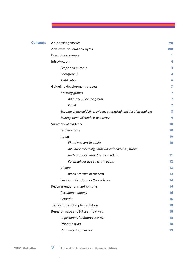| <b>Contents</b> | Acknowledgements                                                 | <b>VII</b> |
|-----------------|------------------------------------------------------------------|------------|
|                 | Abbreviations and acronyms                                       | VIII       |
|                 | Executive summary                                                | 1          |
|                 | Introduction                                                     | 4          |
|                 | Scope and purpose                                                | 4          |
|                 | Background                                                       | 4          |
|                 | Justification                                                    | 6          |
|                 | Guideline development process                                    | 7          |
|                 | Advisory groups                                                  | 7          |
|                 | Advisory guideline group                                         | 7          |
|                 | Panel                                                            | 7          |
|                 | Scoping of the guideline, evidence appraisal and decision-making | 8          |
|                 | Management of conflicts of interest                              | 9          |
|                 | Summary of evidence                                              | 10         |
|                 | Evidence base                                                    | 10         |
|                 | <b>Adults</b>                                                    | 10         |
|                 | Blood pressure in adults                                         | 10         |
|                 | All-cause mortality, cardiovascular disease, stroke,             |            |
|                 | and coronary heart disease in adults                             | 11         |
|                 | Potential adverse effects in adults                              | 12         |
|                 | Children                                                         | 13         |
|                 | Blood pressure in children                                       | 13         |
|                 | Final considerations of the evidence                             | 14         |
|                 | Recommendations and remarks                                      | 16         |
|                 | Recommendations                                                  | 16         |
|                 | Remarks                                                          | 16         |
|                 | Translation and implementation                                   | 18         |
|                 | Research gaps and future initiatives                             | 18         |
|                 | Implications for future research                                 | 18         |
|                 | <b>Dissemination</b>                                             | 18         |
|                 | Updating the guideline                                           | 19         |

<u> Tanzania (</u>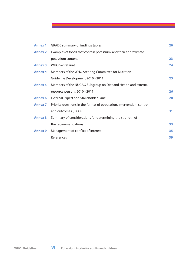| <b>Annex 1</b> | <b>GRADE summary of findings tables</b>                               | 20 |
|----------------|-----------------------------------------------------------------------|----|
| <b>Annex 2</b> | Examples of foods that contain potassium, and their approximate       |    |
|                | potassium content                                                     | 23 |
| <b>Annex 3</b> | <b>WHO Secretariat</b>                                                | 24 |
| <b>Annex 4</b> | Members of the WHO Steering Committee for Nutrition                   |    |
|                | Guideline Development 2010 - 2011                                     | 25 |
| <b>Annex 5</b> | Members of the NUGAG Subgroup on Diet and Health and external         |    |
|                | resource persons 2010 - 2011                                          | 26 |
| <b>Annex 6</b> | <b>External Expert and Stakeholder Panel</b>                          | 28 |
| <b>Annex 7</b> | Priority questions in the format of population, intervention, control |    |
|                | and outcomes (PICO)                                                   | 31 |
| <b>Annex 8</b> | Summary of considerations for determining the strength of             |    |
|                | the recommendations                                                   | 33 |
| <b>Annex 9</b> | Management of conflict of interest                                    | 35 |
|                | References                                                            | 39 |

<u> 1980 - Jan Ja</u>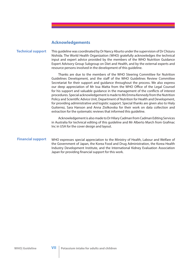# **Acknowledgements**

#### This guideline was coordinated by Dr Nancy Aburto under the supervision of Dr Chizuru Nishida. The World Health Organization (WHO) gratefully acknowledges the technical input and expert advice provided by the members of the WHO Nutrition Guidance Expert Advisory Group Subgroup on Diet and Health, and by the external experts and resource persons involved in the development of this guideline. **Technical support**

Thanks are due to the members of the WHO Steering Committee for Nutrition Guidelines Development, and the staff of the WHO Guidelines Review Committee Secretariat for their support and guidance throughout the process. We also express our deep appreciation of Mr Issa Matta from the WHO Office of the Legal Counsel for his support and valuable guidance in the management of the conflicts of interest procedures. Special acknowledgement is made to Ms Emma Kennedy from the Nutrition Policy and Scientific Advice Unit, Department of Nutrition for Health and Development, for providing administrative and logistic support. Special thanks are given also to Hialy Guiterrez, Sara Hanson and Anna Ziolkovska for their work on data collection and extraction for the systematic reviews that informed this guideline.

Acknowledgement is also made to Dr Hilary Cadman from Cadman Editing Services in Australia for technical editing of this guideline and Mr Alberto March from Grafmac Inc in USA for the cover design and layout.

#### WHO expresses special appreciation to the Ministry of Health, Labour and Welfare of the Government of Japan, the Korea Food and Drug Administration, the Korea Health Industry Development Institute, and the International Kidney Evaluation Association Japan for providing financial support for this work. **Financial support**

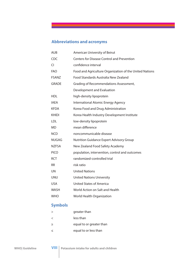# **Abbreviations and acronyms**

| <b>AUB</b>   | American University of Beirut                           |
|--------------|---------------------------------------------------------|
| CDC.         | <b>Centers for Disease Control and Prevention</b>       |
| CI           | confidence interval                                     |
| <b>FAO</b>   | Food and Agriculture Organization of the United Nations |
| <b>FSANZ</b> | Food Standards Australia New Zealand                    |
| <b>GRADE</b> | Grading of Recommendations Assessment,                  |
|              | Development and Evaluation                              |
| <b>HDL</b>   | high-density lipoprotein                                |
| IAEA         | International Atomic Energy Agency                      |
| <b>KFDA</b>  | Korea Food and Drug Administration                      |
| <b>KHIDI</b> | Korea Health Industry Development Institute             |
| <b>LDL</b>   | low-density lipoprotein                                 |
| MD           | mean difference                                         |
| <b>NCD</b>   | noncommunicable disease                                 |
| <b>NUGAG</b> | <b>Nutrition Guidance Expert Advisory Group</b>         |
| <b>NZFSA</b> | New Zealand Food Safety Academy                         |
| <b>PICO</b>  | population, intervention, control and outcomes          |
| <b>RCT</b>   | randomized-controlled trial                             |
| <b>RR</b>    | risk ratio                                              |
| <b>UN</b>    | <b>United Nations</b>                                   |
| <b>UNU</b>   | <b>United Nations University</b>                        |
| <b>USA</b>   | United States of America                                |
| WASH         | World Action on Salt and Health                         |
| <b>WHO</b>   | World Health Organization                               |
|              |                                                         |

# **Symbols**

| $\mathbf{L}$ | greater than             |
|--------------|--------------------------|
| $\prec$      | less than                |
| >            | equal to or greater than |
| $\leq$       | equal to or less than    |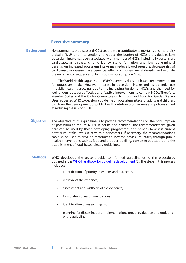## **Executive summary**

Noncommunicable diseases (NCDs) are the main contributor to mortality and morbidity globally *(1, 2)*, and interventions to reduce the burden of NCDs are valuable. Low potassium intake has been associated with a number of NCDs, including hypertension, cardiovascular disease, chronic kidney stone formation and low bone-mineral density. An increased potassium intake may reduce blood pressure, decrease risk of cardiovascular disease, have beneficial effects on bone-mineral density, and mitigate the negative consequences of high sodium consumption *(3-5)*. **Background**

> The World Health Organization (WHO) currently does not have a recommendation for potassium intake. However, interest in potassium intake and its potential use in public health is growing, due to the increasing burden of NCDs, and the need for well-understood, cost-effective and feasible interventions to combat NCDs. Therefore, Member States and the Codex Committee on Nutrition and Food for Special Dietary Uses requested WHO to develop a guideline on potassium intake for adults and children, to inform the development of public health nutrition programmes and policies aimed at reducing the risk of NCDs.

- The objective of this guideline is to provide recommendations on the consumption of potassium to reduce NCDs in adults and children. The recommendations given here can be used by those developing programmes and policies to assess current potassium intake levels relative to a benchmark. If necessary, the recommendations can also be used to develop measures to increase potassium intake, through public health interventions such as food and product labelling, consumer education, and the establishment of food-based dietary guidelines. **Objective**
- WHO developed the present evidence-informed guideline using the procedures outlined in the WHO Handbook for guideline development *(6)*. The steps in this process included: **Methods**
	- identification of priority questions and outcomes;
	- retrieval of the evidence;
	- assessment and synthesis of the evidence;
	- formulation of recommendations;
	- identification of research gaps;
	- planning for dissemination, implementation, impact evaluation and updating of the guideline.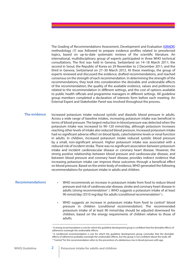The Grading of Recommendations Assessment, Development and Evaluation (GRADE) methodology (7) was followed to prepare evidence profiles related to preselected topics, based on up-to-date systematic reviews of the scientific literature. An international, multidisciplinary group of experts participated in three WHO technical consultations. The first was held in Geneva, Switzerland on 14–18 March 2011; the second in Seoul, the Republic of Korea on 29 November to 2 December 2011; and the third in Geneva, Switzerland on 27–30 March 2012. At these meetings, the group of experts reviewed and discussed the evidence, drafted recommendations, and reached consensus on the strength of each recommendation. In determining the strength of the recommendations, they took into consideration the desirable and undesirable effects of the recommendation, the quality of the available evidence, values and preferences related to the recommendation in different settings, and the cost of options available to public health officials and programme managers in different settings. All guideline group members completed a declaration of interests form before each meeting. An External Expert and Stakeholder Panel was involved throughout the process.

**The evidence** Increased potassium intake reduced systolic and diastolic blood pressure in adults. Across a wide range of baseline intakes, increasing potassium intake was beneficial in terms of blood pressure. The largest reduction in blood pressure was detected when the potassium intake was increased to 90–120 mmol/day, although potassium increases reaching other levels of intake also reduced blood pressure. Increased potassium intake had no significant adverse effect on blood lipids, catecholamine levels or renal function in adults. In children, increased potassium intake reduced systolic blood pressure by a small, non-significant amount. Higher potassium intake was associated with a reduced risk of incident stroke. There was no significant association between potassium intake and incident cardiovascular disease or coronary heart disease. However, the strong positive relationship between blood pressure and cardiovascular disease, and between blood pressure and coronary heart disease, provides indirect evidence that increasing potassium intake can improve these outcomes through a beneficial effect on blood pressure. Based on the entire body of evidence, WHO generated the following recommendations for potassium intake in adults and children.

## **Recommendations**

• WHO recommends an increase in potassium intake from food to reduce blood pressure and risk of cardiovascular disease, stroke and coronary heart disease in adults (strong recommendation<sup>1</sup>). WHO suggests a potassium intake of at least 90 mmol/day (3510 mg/day) for adults (*conditional recommendation*<sup>2</sup> ).

• WHO suggests an increase in potassium intake from food to control<sup>3</sup> blood pressure in children (*conditional recommendation*). The recommended potassium intake of at least 90 mmol/day should be adjusted downward for children, based on the energy requirements of children relative to those of adults.

<sup>&</sup>lt;sup>1</sup>A strong recommendation is one for which the guideline development group is confident that the desirable effects of adherence outweigh the undesirable effects.

<sup>&</sup>lt;sup>2</sup> A conditional recommendation is one for which the guideline development group concludes that the desirable effects of adherence probably outweigh the undesirable effects, but the group is not confident about the trade-off. <sup>3</sup> "Control" for this recommendation refers to the prevention of a deleterious rise in blood pressure with age.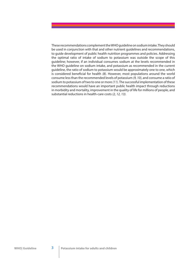These recommendations complement the WHO guideline on sodium intake. They should be used in conjunction with that and other nutrient guidelines and recommendations, to guide development of public health nutrition programmes and policies. Addressing the optimal ratio of intake of sodium to potassium was outside the scope of this guideline; however, if an individual consumes sodium at the levels recommended in the WHO guideline on sodium intake, and potassium as recommended in the current guideline, the ratio of sodium to potassium would be approximately one to one, which is considered beneficial for health (8). However, most populations around the world consume less than the recommended levels of potassium *(9, 10)*, and consume a ratio of sodium to potassium of two to one or more *(11)*. The successful implementation of these recommendations would have an important public health impact through reductions in morbidity and mortality, improvement in the quality of life for millions of people, and substantial reductions in health-care costs *(2, 12, 13)*.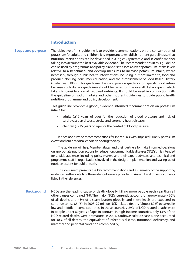## **Introduction**

## **Scope and purpose**

The objective of this guideline is to provide recommendations on the consumption of potassium for adults and children. It is important to establish nutrient guidelines so that nutrition interventions can be developed in a logical, systematic, and scientific manner taking into account the best available evidence. The recommendations in this guideline can be used by programme and policy planners to assess current potassium intake levels relative to a benchmark and develop measures to increase potassium intake, where necessary, through public health interventions including, but not limited to, food and product labelling, consumer education, and the establishment of Food-Based Dietary Guidelines (FBDG). This quideline does not provide quidance on specific food intake because such dietary guidelines should be based on the overall dietary goals, which take into consideration all required nutrients. It should be used in conjunction with the guideline on sodium intake and other nutrient guidelines to guide public health nutrition programme and policy development.

This guideline provides a global, evidence-informed recommendation on potassium intake for:

- adults ( $\geq$ 16 years of age) for the reduction of blood pressure and risk of cardiovascular disease, stroke and coronary heart disease;
- children (2–15 years of age) for the control of blood pressure.

It does not provide recommendations for individuals with impaired urinary potassium excretion from a medical condition or drug therapy.

The guideline will help Member States and their partners to make informed decisions on appropriate nutrition actions to reduce noncommunicable diseases (NCDs). It is intended for a wide audience, including policy-makers and their expert advisers, and technical and programme staff in organizations involved in the design, implementation and scaling-up of nutrition actions for public health.

This document presents the key recommendations and a summary of the supporting evidence. Further details of the evidence base are provided in Annex 1 and other documents listed in the references.

NCDs are the leading cause of death globally, killing more people each year than all other causes combined *(14)*. The major NCDs currently account for approximately 60% of all deaths and 43% of disease burden globally, and these levels are expected to continue to rise *(2, 15)*. In 2008, 29 million NCD-related deaths (almost 80%) occurred in low and middle-income countries. In those countries, 29% of NCD-related deaths were in people under 60 years of age; in contrast, in high-income countries, only 13% of the NCD-related deaths were premature. In 2005, cardiovascular disease alone accounted for 30% of all deaths; the equivalent of infectious disease, nutritional deficiency, and maternal and perinatal conditions combined *(2)*. **Background**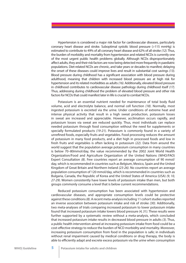Hypertension is considered a major risk factor for cardiovascular diseases, particularly coronary heart disease and stroke. Suboptimal systolic blood pressure (>115 mmHg) is estimated to contribute to 49% of all coronary heart disease and 62% of all stroke *(12)*. Thus, the burden of morbidity and mortality from hypertension and related NCDs is currently one of the most urgent public health problems globally. Although NCDs disproportionately affect adults, they and their risk factors are now being detected more frequently in paediatric populations. Diet-related NCDs are chronic, and take years or decades to manifest; delaying the onset of these diseases could improve lives and result in substantial cost savings *(13)*. Blood pressure during childhood has a significant association with blood pressure during adulthood, meaning that children with increased blood pressure are at high risk for hypertension and its related morbidities as adults *(16)*. Additionally, elevated blood pressure in childhood contributes to cardiovascular disease pathology during childhood itself *(17)*. Thus, addressing during childhood the problem of elevated blood pressure and other risk factors for NCDs that could manifest later in life is crucial to combat NCDs.

Potassium is an essential nutrient needed for maintenance of total body fluid volume, acid and electrolyte balance, and normal cell function *(18)*. Normally, most ingested potassium is excreted via the urine. Under conditions of extreme heat and intense physical activity that result in a high sweat production, potassium losses in sweat are increased and appreciable. However, acclimation occurs rapidly, and potassium losses via sweat are reduced quickly. Thus, most individuals can replace needed potassium through food consumption without the need for supplements or specially formulated products *(19-21)*. Potassium is commonly found in a variety of unrefined foods, especially fruits and vegetables. Food processing reduces the amount of potassium in many food products, and a diet high in processed foods and low in fresh fruits and vegetables is often lacking in potassium *(22)*. Data from around the world suggest that the population average potassium consumption in many countries is below 70–80mmol/day, the value recommended by the 2002 Joint World Health Organization/Food and Agriculture Organization of the United Nations (WHO/FAO) Expert Consultation *(8)*. Few countries report an average consumption of 90 mmol/ day, which is recommended in countries such as Belgium, Mexico, Spain and the United Kingdom of Great Britain and Northern Ireland *(23-26)*. No countries report an average population consumption of 120 mmol/day, which is recommended in countries such as Bulgaria, Canada, the Republic of Korea and the United States of America (USA) *(9, 10, 27-29)*. Women consistently have lower levels of potassium intake than men, but both groups commonly consume a level that is below current recommendations.

Reduced potassium consumption has been associated with hypertension and cardiovascular diseases, and appropriate consumption levels could be protective against these conditions *(8)*. A recent meta-analysis including 11 cohort studies reported an inverse association between potassium intake and risk of stroke *(30)*. Additionally, two meta-analyses of trials comparing increased potassium to lower potassium intake found that increased potassium intake lowers blood pressure *(4, 31)*. These results were further supported by a systematic review without a meta-analysis, which concluded that increased potassium intake results in decreased blood pressure in adults *(3)*. Thus, a public health intervention aimed at increasing potassium intake from food could be a cost-effective strategy to reduce the burden of NCD morbidity and mortality. Moreover, increasing potassium consumption from food in the population is safe; in individuals without renal impairment caused by medical conditions or drug therapy, the body is able to efficiently adapt and excrete excess potassium via the urine when consumption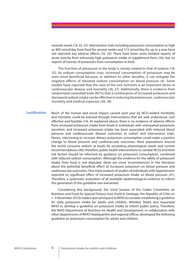exceeds needs *(18, 32, 33)*. Intervention trials including potassium consumption as high as 400 mmol/day from food for several weeks and 115 mmol/day for up to a year have not reported any adverse effects (32, 33). There have been some isolated reports of acute toxicity from extremely high potassium intake in supplement form *(34)*, but no reports of toxicity of potassium from consumption in food.

The function of potassium in the body is closely related to that of sodium *(18, 35)*. As sodium consumption rises, increased consumption of potassium may be even more beneficial because, in addition to other benefits, it can mitigate the negative effects of elevated sodium consumption on blood pressure *(4)*. Some studies have reported that the ratio of the two nutrients is an important factor in cardiovascular disease and mortality *(36, 37)*. Additionally, there is evidence from randomized controlled trials (RCTs) that a combination of increased potassium and decreased sodium intake can be effective in reducing blood pressure, cardiovascular mortality and medical expenses *(38, 39)*.

Much of the human and social impact caused each year by NCD-related morbidity and mortality could be averted through interventions that are well understood, cost effective and feasible (14). As explained above, there is no evidence of adverse effects from increased potassium intake from foods in individuals with unimpaired potassium excretion, and increased potassium intake has been associated with reduced blood pressure and cardiovascular disease outcomes in cohort and intervention trials. Hence, intervening to increase dietary potassium consumption could make a positive change to blood pressure and cardiovascular outcomes. Most populations around the world consume sodium at levels far exceeding physiological needs and current recommendations *(40)*; therefore, public health interventions to combat NCDs and their risk factors should be informed by guidance on potassium consumption, combined with reduced sodium consumption. Although the evidence for the safety of potassium intake from food is not disputed, there are some inconsistencies in the literature about the potential beneficial effect of increased potassium on blood pressure and cardiovascular outcomes. One meta-analysis of studies of individuals with hypertension reported no significant effect of increased potassium intake on blood pressure (41). Therefore, a systematic evaluation of all available epidemiological evidence to inform the generation of this guideline was warranted. **Justi!cation**

> Considering this background, the 32nd Session of the Codex Committee on Nutrition and Food for Special Dietary Uses (held in Santiago, the Republic of Chile on 1–5 November 2010) made a special request to WHO to consider establishing a guideline for daily potassium intake for adults and children. Member States also requested WHO to develop a guideline on potassium intake to inform public policy. Therefore, the WHO Department of Nutrition for Health and Development, in collaboration with other departments of WHO Headquarters and regional offices, developed the following guideline on potassium consumption for adults and children.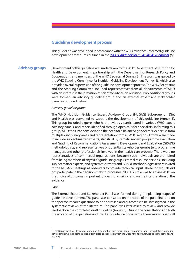# **Guideline development process**

This guideline was developed in accordance with the WHO evidence-informed guideline development procedures outlined in the *WHO Handbook for guideline development (6).*

Development of this guideline was undertaken by the WHO Department of Nutrition for Health and Development, in partnership with the Department of Research Policy and Cooperation<sup>1</sup>, and members of the WHO Secretariat (Annex 3). The work was guided by the WHO Steering Committee for Nutrition Guideline Development (Annex 4), which also provided overall supervision of the guideline development process. The WHO Secretariat and the Steering Committee included representatives from all departments of WHO with an interest in the provision of scientific advice on nutrition. Two additional groups were formed: an advisory guideline group and an external expert and stakeholder panel, as outlined below. **Advisory groups**

## *Advisory guideline group*

The WHO Nutrition Guidance Expert Advisory Group (NUGAG) Subgroup on Diet and Health was convened to support the development of this guideline (Annex 5). This group included experts who had previously participated in various WHO expert advisory panels, and others identified through open calls for specialists. In forming this group, WHO took into consideration the need for a balanced gender mix, expertise from multiple disciplinary areas and representation from all WHO regions. Efforts were made to include subject-matter experts; statistical, systematic review, programme evaluation and Grading of Recommendations Assessment, Development and Evaluation (GRADE) methodologists; and representatives of potential stakeholder groups (e.g. programme managers and other professionals involved in the health-care process). There were no representatives of commercial organizations, because such individuals are prohibited from being members of any WHO guideline group. External resource persons (including subject matter experts, and systematic review and GRADE methodologists) were invited to the NUGAG meetings as observers to provide technical input. These individuals did not participate in the decision-making processes. NUGAG's role was to advise WHO on the choice of outcomes important for decision-making and on the interpretation of the evidence.

## *Panel*

The External Expert and Stakeholder Panel was formed during the planning stages of guideline development. The panel was consulted on the scope of the guideline, and on the specific research questions to be addressed and outcomes to be investigated in the systematic reviews of the literature. The panel was later asked to review and provide feedback on the completed draft guideline (Annex 6). During the consultations on both the scoping of the guideline and the draft guideline documents, there was an open call

<sup>1</sup> The Department of Research Policy and Cooperation has since been reorganized and the nutrition guideline development work is being carried out in close collaboration with the Department of Knowledge Management and Sharing.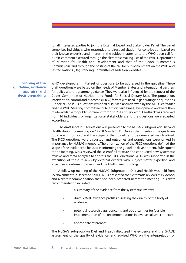for all interested parties to join the External Expert and Stakeholder Panel. The panel comprises individuals who responded to direct solicitation for contribution based on their known expertise and interest in the subject matter, or to the WHO open call for public comment executed through the electronic mailing lists of the WHO Department of Nutrition for Health and Development and that of the Codex Alimentarius Commissioin, and through the posting of the call for public comment on the WHO and United Nations (UN) Standing Committee of Nutrition websites.

**Scoping of the guideline, evidence appraisal and decision-making**

WHO developed an initial set of questions to be addressed in the guideline. These draft questions were based on the needs of Member States and international partners for policy and programme guidance. They were also influenced by the request of the Codex Committee of Nutrition and Foods for Special Dietary Uses. The population, intervention, control and outcomes (PICO) format was used in generating the questions (Annex 7). The PICO questions were first discussed and reviewed by the WHO Secretariat and the WHO Steering Committee for Nutrition Guideline Development, and were then made available for public comment from 1 to 28 February 2011. Feedback was received from 16 individuals or organizational stakeholders, and the questions were adapted accordingly.

The draft set of PICO questions was presented to the NUGAG Subgroup on Diet and Health during its meeting on 14–18 March 2011. During that meeting, the guideline topic was introduced and the scope of the quideline to be generated was finalized. The PICO questions were discussed, and outcomes and populations were ranked in importance by NUGAG members. The prioritization of the PICO questions defined the scope of the evidence to be used in informing the guideline development. Subsequent to the meeting, WHO reviewed the scientific literature and conducted new systematic reviews and meta-analyses to address the PICO questions. WHO was supported in the execution of these reviews by external experts with subject-matter expertise, and expertise in systematic reviews and the GRADE methodology.

A follow-up meeting of the NUGAG Subgroup on Diet and Health was held from 29 November to 2 December 2011. WHO presented the systematic reviews of evidence, and a draft recommendation that had been prepared before the meeting. This draft recommendation included:

- a summary of the evidence from the systematic reviews:
- draft GRADE evidence profiles assessing the quality of the body of evidence;
- potential research gaps, concerns and opportunities for feasible implementation of the recommendations in diverse cultural contexts;
- appropriate references.

The NUGAG Subgroup on Diet and Health discussed the evidence and the GRADE assessment of the quality of evidence, and advised WHO on the interpretation of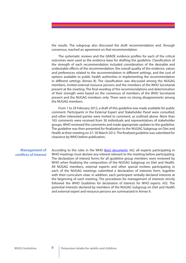the results. The subgroup also discussed the draft recommendation and, through consensus, reached an agreement on that recommendation.

The systematic reviews and the GRADE evidence profiles for each of the critical outcomes were used as the evidence base for drafting the guideline. Classification of the strength of each recommendation included consideration of the desirable and undesirable effects of the recommendation, the overall quality of the evidence, values and preferences related to the recommendation in different settings, and the cost of options available to public health authorities in implementing the recommendation in different settings (Annex 8). The classification was discussed among the NUGAG members, invited external resource persons and the members of the WHO Secretariat present at the meeting. The final wording of the recommendations and determination of their strength were based on the consensus of members of the WHO Secretariat present and the NUGAG members only. There were no strong disagreements among the NUGAG members.

From 1 to 29 February 2012, a draft of this guideline was made available for public comment. Participants in the External Expert and Stakeholder Panel were consulted, and other interested parties were invited to comment, as outlined above. More than 165 comments were received from 30 individuals and representatives of stakeholder groups. WHO reviewed the comments and made appropriate updates to the guideline. The quideline was then presented for finalization to the NUGAG Subgroup on Diet and Health at their meeting on 27-30 March 2012. The finalized guideline was submitted for clearance by WHO before publication.

## **Management of con"icts of interest**

According to the rules in the WHO *Basic documents (42)*, all experts participating in WHO meetings must declare any interest relevant to the meeting before participating. The declaration of interest forms for all guideline group members were reviewed by WHO when finalizing the composition of the NUGAG Subgroup on Diet and Health. All NUGAG members, external experts and other special invitees participating in each of the NUGAG meetings submitted a declaration of interests form, together with their curriculum vitae. In addition, each participant verbally declared interests at the beginning of each meeting. The procedures for management of interests strictly followed the WHO *Guidelines for declaration of interests for WHO experts (43)*. The potential interests declared by members of the NUGAG Subgroup on Diet and Health and external expert and resource persons are summarized in Annex 9.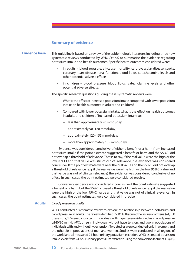## **Summary of evidence**

- This guideline is based on a review of the epidemiologic literature, including three new systematic reviews conducted by WHO *(44-46)* to summarize the evidence regarding potassium intake and health outcomes. Specific health outcomes considered were: **Evidence base**
	- in adults blood pressure, all-cause mortality, cardiovascular disease, stroke, coronary heart disease, renal function, blood lipids, catecholamine levels and other potential adverse effects;
	- in children blood pressure, blood lipids, catecholamine levels and other potential adverse effects.

The specific research questions quiding these systematic reviews were:

- What is the effect of increased potassium intake compared with lower potassium intake on health outcomes in adults and children?
- Compared with lower potassium intake, what is the effect on health outcomes in adults and children of increased potassium intake to:
	- less than approximately 90 mmol/day;
	- approximately 90–120 mmol/day;
	- approximately 120–155 mmol/day;
	- more than approximately 155 mmol/day?

Evidence was considered conclusive of either a benefit or a harm from increased potassium intake if the point estimate suggested a benefit or harm and the 95%CI did not overlap a threshold of relevance. That is to say, if the real value were the high or the low 95%CI and that value was still of clinical relevance, the evidence was considered conclusive. If the point estimate were near the null value and the 95%CI did not overlap a threshold of relevance (e.g. if the real value were the high or the low 95%CI value and that value was not of clinical relevance) the evidence was considered conclusive of no effect. In such cases, the point estimates were considered precise.

Conversely, evidence was considered inconclusive if the point estimate suggested a benefit or a harm but the 95%CI crossed a threshold of relevance (e.g. if the real value were the high or the low 95%CI value and that value was not of clinical relevance). In such cases, the point estimates were considered imprecise.

#### *Blood pressure in adults* **Adults**

WHO conducted a systematic review to explore the relationship between potassium and blood pressure in adults. The review identified 22 RCTs that met the inclusion criteria (44). Of these RCTs, 17 were conducted in individuals with hypertension (defined as a blood pressure ≥140/90 mmHg *(47)*), three in individuals without hypertension, and two in populations of individuals with and without hypertension. Two studies were conducted only in women, and the other 20 in populations of men and women. Studies were conducted in all regions of the world and all measured 24-hour urinary potassium excretion. WHO estimated potassium intake levels from 24-hour urinary potassium excretion using the conversion factor of 1.3 *(48)*.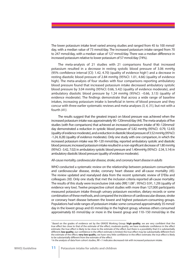The lower potassium intake level varied among studies and ranged from 45 to 100 mmol/ day, with a median value of 73 mmol/day. The increased potassium intake ranged from 70 to 247 mmol/day, with a median value of 127 mmol/day. There was a median difference in increased potassium relative to lower potassium of 57 mmol/day (74%).

The meta-analysis of 21 studies with 21 comparisons found that increased potassium resulted in a decrease in resting systolic blood pressure of 3.06 mmHg (95% confidence interval [CI]: 1.42, 4.70) (quality of evidence high<sup>1</sup>) and a decrease in resting diastolic blood pressure of 2.84 mmHg (95%CI: 1.01, 4.66) (quality of evidence high). The meta-analysis of four studies with four comparisons reporting ambulatory blood pressure found that increased potassium intake decreased ambulatory systolic blood pressure by 3.04 mmHg (95%CI: 0.66, 5.42) (quality of evidence moderate), and ambulatory diastolic blood pressure by 1.24 mmHg (95%CI: –0.66, 3.13) (quality of evidence moderate). The findings demonstrate that across a wide range of baseline intakes, increasing potassium intake is beneficial in terms of blood pressure and they concur with three earlier systematic reviews and meta-analyses *(3, 4, 31)*, but not with a fourth *(41)*.

The results suggest that the greatest impact on blood pressure was achieved when the increased potassium intake was approximately 90-120mmol/day (44). The meta-analysis of five studies (with five comparisons) that achieved an increased potassium intake of 90-120mmol/ day demonstrated a reduction in systolic blood pressure of 5.82 mmHg (95%CI: -0.79, 12.43) (quality of evidence moderate), and a reduction in diastolic blood pressure of 3.52 mmHg (95%CI: -1.24, 8.28) (quality of evidence moderate). Only one study with one comparison, in which the increased potassium intake was 90–120 mmol/day, reported ambulatory systolic and diastolic blood pressure; increased potassium intake resulted in a non-significant decrease of 1.80 mmHg (95%CI: -3.42, 7.02) in ambulatory systolic blood pressure and 1.40mmHg (95%CI: -2.34, 5.14) in ambulatory diastolic blood pressure (quality of evidence moderate).

#### *All-cause mortality, cardiovascular disease, stroke, and coronary heart disease in adults*

WHO conducted a systematic review on the relationship between potassium consumption and cardiovascular disease, stroke, coronary heart disease and all-cause mortality *(45)*. The review updated and reanalysed data from the recent systematic review of D'Elia and colleagues *(30)*. Only one study that met the inclusion criteria reported all-cause mortality. The results of this study were inconclusive (risk ratio [RR]  $1.08<sup>2</sup>$ ; 95%CI: 0.91, 1.29) (quality of evidence very low). Twelve prospective cohort studies with more than 127,000 participants measured potassium intake through urinary potassium excretion, dietary records or some combination of these methods, and compared the incidence of cardiovascular disease, stroke or coronary heart disease between the lowest and highest potassium-consuming groups. Populations had wide ranges of potassium intake: some consumed approximately 35 mmol/ day in the lowest group and 65 mmol/day in the highest group, whereas others consumed approximately 65 mmol/day or more in the lowest group and 110–150 mmol/day in the

<sup>&</sup>lt;sup>1</sup> Based on the grades of evidence set by the GRADE Working Group: high quality, we are very confident that the true effect lies close to that of the estimate of the effect; *moderate quality*, we have moderate confidence in the effect estimate; the true effect is likely to be close to the estimate of the effect, but there is a possibility that it is substantially different; **low quality**, our confidence in the effect estimate is limited; the true effect may be substantially different from the estimate of the effect; **very low qualit**y, we have very little confidence in the effect estimate; the true effect is likely to be substantially different from the estimate of the effect.

<sup>2</sup> In the analysis of data from cohort studies, RR <1 indicates decreased risk with increased potassium intake.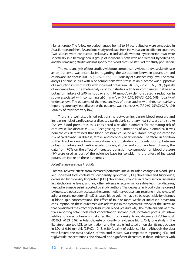highest group. The follow-up period ranged from 2 to 19 years. Studies were conducted in Asia, Europe and the USA, and one study used data from individuals in 40 different countries. Two studies were conducted exclusively in individuals without hypertension, two were specifically in a heterogeneous group of individuals both with and without hypertension, and the remaining studies did not specify the blood pressure status of the study population.

The meta-analysis of four studies with four comparisons with cardiovascular disease as an outcome was inconclusive regarding the association between potassium and cardiovascular disease (RR 0.88; 95%CI: 0.70, 1.11) (quality of evidence very low). The metaanalysis of nine studies with nine comparisons with stroke as an outcome was supportive of a reduction in risk of stroke with increased potassium (RR 0.79; 95%CI: 0.68, 0.93) (quality of evidence low). The meta-analysis of four studies with four comparisons between a potassium intake of ≥90 mmol/day and <90 mmol/day demonstrated a reduction in stroke associated with consuming  $\geq$ 90 mmol/day (RR 0.70; 95%CI: 0.56, 0.88) (quality of evidence low). The outcome of the meta-analysis of three studies with three comparisons reporting coronary heart disease as the outcome was inconclusive (RR 0.97; 95%CI: 0.77, 1.24) (quality of evidence very low).

There is a well-established relationship between increasing blood pressure and increasing risk of cardiovascular diseases, particularly coronary heart disease and stroke *(12, 49)*. Blood pressure is thus considered a reliable biomarker for estimating risk of cardiovascular disease *(50, 51)*. Recognizing the limitations of any biomarker, it was nonetheless determined that blood pressure could be a suitable proxy indicator for risk of cardiovascular disease, stroke, and coronary heart disease. Therefore, in addition to the direct evidence from observational cohort studies on the relationship between potassium intake and cardiovascular disease, stroke, and coronary heart disease, the data from RCTs on the effect of increased potassium consumption on blood pressure (44) were used as part of the evidence base for considering the effect of increased potassium intake on these outcomes.

#### *Potential adverse e*#*ects in adults*

Potential adverse effects from increased potassium intake included changes in blood lipids (e.g. increased total cholesterol, low-density lipoprotein [LDL] cholesterol and triglyceride; decreased high-density lipoprotein [HDL] cholesterol); changes in renal function; increases in catecholamine levels; and any other adverse effects or minor side-effects (i.e. dizziness, headache, muscle pain) reported by study authors. The decrease in blood volume caused by increased potassium activates the sympathetic nervous system, resulting in the release of adrenaline and noradrenaline. Decreased blood volume may also be responsible for changes in blood lipid concentrations. The effect of four or more weeks of increased potassium consumption on these outcomes was addressed in the systematic review of the literature that considered the effect of potassium on blood pressure (44). The meta-analysis of three trials reporting total cholesterol concentration showed that increased potassium intake relative to lower potassium intake resulted in a non-significant decrease of 0.12mmol/L (95%CI: –0.33, 0.09) in total cholesterol (quality of evidence high). Only one study in the literature reported LDL concentration, and the results indicated a non-significant decrease in LDL of 0.10 mmol/L (95%CI: –0.18, 0.38) (quality of evidence high). Although the data were limited, the meta-analysis of two studies with two comparisons reporting HDL and triglyceride concentrations also showed non-significant decreases in those indicators with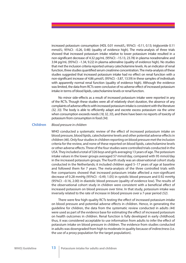increased potassium consumption (HDL 0.01 mmol/L; 95%CI: –0.11, 0.13; triglyceride 0.11 mmol/L; 95%CI: –0.26, 0.48) (quality of evidence high). The meta-analysis of three trials showed that increased potassium intake relative to lower potassium intake resulted in a non-significant decrease of 4.32 pg/mL (95%CI: -15.13, 23.78) in plasma noradrenaline and 3.94 pg/mL (95%CI: –1.34, 9.22) in plasma adrenaline (quality of evidence high). No studies that met the inclusion criteria reported urinary catecholamine levels. As an indicator of renal function, three studies quantified serum creatinine concentration. The meta-analysis of these studies suggested that increased potassium intake had no effect on renal function with a non-significant increase of 4.86  $\mu$ mol/L (95%CI: -3.87, 13.59) in these samples of individuals with apparently normal renal function (quality of evidence high). Although the evidence was limited, the data from RCTs were conclusive of no adverse effect of increased potassium intake in terms of blood lipids, catecholamine levels or renal function.

No minor side-effects as a result of increased potassium intake were reported in any of the RCTs. Though these studies were all of relatively short duration, the absence of any complaints of adverse effects with increased potassium intake is consistent with the literature *(32, 33)*. The body is able to efficiently adapt and excrete excess potassium via the urine when consumption exceeds needs (*18, 32, 33*), and there have been no reports of toxicity of potassium from consumption in food *(34)*.

#### *Blood pressure in children* **Children**

WHO conducted a systematic review of the effect of increased potassium intake on blood pressure, blood lipids, catecholamine levels and other potential adverse effects in children (*46*). Only four studies in children reporting on blood pressure met the inclusion criteria for the review, and none of these reported on blood lipids, catecholamine levels or other adverse effects. Three of the four studies were controlled trials conducted in the USA. They included a total of 326 boys and girls averaging 13 years of age. The potassium intake values in the lower groups averaged 57 mmol/day, compared with 95 mmol/day in the increased potassium groups. The fourth study was an observational cohort study conducted in the Netherlands; it included children aged 5–17 years of age at baseline and followed them for 7 years. The meta-analysis of the three controlled trials with five comparisons showed that increased potassium intake affected a non-significant decrease of 0.28 mmHg (95%CI: –0.49, 1.05) in systolic blood pressure and 0.92 mmHg (95%CI: –0.16, 2.00) in diastolic blood pressure (quality of evidence low). The results of the observational cohort study in children were consistent with a beneficial effect of increased potassium on blood pressure over time. In that study, potassium intake was inversely related to the rate of increase in blood pressure over a 7-year period *(52)*.

There were few high-quality RCTs testing the effect of increased potassium intake on blood pressure and potential adverse effects in children. Hence, in generating the guideline for children, the data from the systematic review conducted in adults *(44)*  were used as part of the evidence base for estimating the effect of increased potassium on health outcomes in children. Renal function is fully developed in early childhood; thus, it was considered acceptable to use information from adults to infer the effect of potassium intake on blood pressure in children. The evidence from studies conducted in adults was downgraded from high to moderate in quality because of indirectness (i.e. the use of a proxy population for the target population).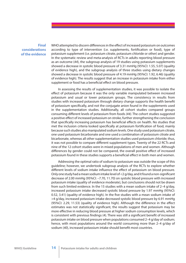## **Final considerations of the evidence**

WHO attempted to discern differences in the effect of increased potassium on outcomes according to type of intervention (i.e. supplements, fortification or food), type of potassium supplement (i.e. potassium citrate, potassium chloride or other) and gender. In the systematic review and meta-analysis of RCTs in adults reporting blood pressure as an outcome (*44*), the subgroup analysis of 19 studies using potassium supplements showed a decrease in systolic blood pressure of 3.31 mmHg (95%CI: 1.55, 5.07) (quality of evidence high), and the subgroup analysis of three studies using dietary changes showed a decrease in systolic blood pressure of 4.19 mmHg (95%CI: 1.92, 6.46) (quality of evidence high). The results suggest that an increase in potassium intake from either supplement or food has a beneficial effect on blood pressure.

In assessing the results of supplementation studies, it was possible to isolate the effect of potassium because it was the only variable manipulated between increased potassium and usual or lower potassium groups. The consistency in results from studies with increased potassium through dietary change supports the health benefit of potassium specifically, and not the conjugate anion found in the supplements used in the supplementation studies. Additionally, all cohort studies compared groups consuming different levels of potassium from foods (44). The cohort studies suggested a positive effect of increased potassium on stroke, further strengthening the conclusion that specifically increasing potassium has beneficial effects on health. No studies that met the inclusion criteria looked specifically at potassium fortification of food, mainly because such studies also manipulated sodium levels. One study used potassium citrate, one used potassium bicarbonate and one used a combination of potassium citrate and bicarbonate, whereas all other supplementation studies used potassium chloride; thus, it was not possible to compare different supplement types. Twenty of the 22 RCTs and nine of the 12 cohort studies were in mixed populations of men and women. Although differences by gender could not be compared, the overall positive effect of increased potassium found in these studies supports a beneficial effect in both men and women.

Addressing the optimal ratio of sodium to potassium was outside the scope of this guideline; however, we undertook subgroup analysis of the RCTs to explore whether different levels of sodium intake influence the effect of potassium on blood pressure. Only one study had a mean sodium intake level of  $<$ 2 g/day, and it found a non-significant decrease of 2.00 mmHg (95%CI: –7.70, 11.70) on systolic blood pressure with increased potassium intake (quality of evidence moderate), but conclusions should not be drawn from such limited evidence. In the 15 studies with a mean sodium intake of 2–4 g/day, increased potassium intake decreased systolic blood pressure by 1.97 mmHg (95%CI:  $(0.52, 3.41)$  (quality of evidence high). In the five studies with a mean sodium intake of >4 g/day, increased potassium intake decreased systolic blood pressure by 6.91 mmHg  $(95\%$ CI: 2.29, 11.53) (quality of evidence high). Although the difference in the effect estimates was not statistically significant, the results suggest that potassium may be more effective in reducing blood pressure at higher sodium consumption levels, which is consistent with previous findings (4). There was still a significant benefit of increased potassium intake on blood pressure when populations consumed 2–4 g/day of sodium; hence, with most populations around the world consuming more than 2–4 g/day of sodium (40), increased potassium intake should benefit most countries.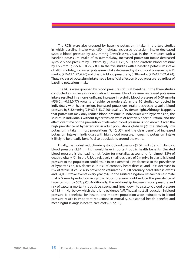The RCTs were also grouped by baseline potassium intake. In the two studies in which baseline intake was <50mmol/day, increased potassium intake decreased systolic blood pressure by 3.89 mmHg (95%CI: 0.74, 7.03). In the 14 studies with a baseline potassium intake of 50-80mmol/day, increased potassium intake decreased systolic blood pressure by 3.39mmHg (95%CI: 1.26, 5.51) and diastolic blood pressure by 1.53 mmHg (95%CI: 0.25, 2.80). In the five studies with a baseline potassium intake of >80mmol/day, increased potassium intake decreased systolic blood pressure by 4.11 mmHg (95%CI: 1.97, 6.26) and diastolic blood pressure by 3.38 mmHg (95%CI: 2.02, 4.74). Thus, increased potassium intake had a beneficial effect on blood pressure regardless of baseline potassium intake.

The RCTs were grouped by blood pressure status at baseline. In the three studies conducted exclusively in individuals with normal blood pressure, increased potassium intake resulted in a non-significant increase in systolic blood pressure of 0.09 mmHg (95%CI: –0.95,0.77) (quality of evidence moderate). In the 16 studies conducted in individuals with hypertension, increased potassium intake decreased systolic blood pressure by 5.32 mmHg (95%CI: 3.43, 7.20) (quality of evidence high). Although it appears that potassium may only reduce blood pressure in individuals with hypertension, the studies in individuals without hypertension were of relatively short duration, and the effect over time on the prevention of elevated blood pressure is not known. Given the high prevalence of hypertension in adult populations globally *(2)*, the relatively low potassium intake in most populations (9, 10, 53), and the clear benefit of increased potassium intake in individuals with high blood pressure, increasing potassium intake is likely to be broadly beneficial to populations around the world.

Finally, the modest reduction in systolic blood pressure (3.06 mmHg) and in diastolic blood pressure (2.84 mmHg) would have important public health benefits. Elevated blood pressure is the leading risk factor for mortality, accounting for almost 13% of death globally *(2)*. In the USA, a relatively small decrease of 2 mmHg in diastolic blood pressure in the population could result in an estimated 17% decrease in the prevalence of hypertension, 6% decrease in risk of coronary heart disease, and 15% decrease in risk of stroke; it could also prevent an estimated 67,000 coronary heart disease events and 34,000 stroke events every year *(54)*. In the United Kingdom, researchers estimate that a 5 mmHg reduction in systolic blood pressure could reduce the prevalence of hypertension by 50% *(55)*. Additionally, the relationship between blood pressure and risk of vascular mortality is positive, strong and linear down to a systolic blood pressure of 115 mmHg, below which there is no evidence *(49)*. Thus, almost all reduction in blood pressure is beneficial for health, and modest population-wide reductions in blood pressure result in important reductions in mortality, substantial health benefits and meaningful savings in health-care costs *(2, 12, 13)*.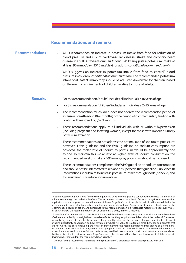# **Recommendations and remarks**

- **Recommendations** WHO recommends an increase in potassium intake from food for reduction of blood pressure and risk of cardiovascular disease, stroke and coronary heart disease in adults (*strong recommendation*<sup>1</sup> ). WHO suggests a potassium intake of at least 90 mmol/day (3510 mg/day) for adults (*conditional recommendation*<sup>2</sup> ).
	- WHO suggests an increase in potassium intake from food to control<sup>3</sup> blood pressure in children (*conditional recommendation*). The recommended potassium intake of at least 90 mmol/day should be adjusted downward for children, based on the energy requirements of children relative to those of adults.

#### • For this recommendation, "adults" includes all individuals ≥16 years of age. **Remarks**

- For this recommendation, "children" includes all individuals 2–15 years of age.
- The recommendation for children does not address the recommended period of exclusive breastfeeding (0–6 months) or the period of complementary feeding with continued breastfeeding (6–24 months).
- These recommendations apply to all individuals, with or without hypertension (including pregnant and lactating women) except for those with impaired urinary potassium excretion.
- These recommendations do not address the optimal ratio of sodium to potassium; however, if this guideline and the WHO guideline on sodium consumption are achieved, the molar ratio of sodium to potassium would be approximately one to one. To maintain this molar ratio at higher levels of sodium consumption, the recommended level of intake of ≥90 mmol/day potassium should be increased.
- These recommendations complement the WHO guideline on sodium consumption and should not be interpreted to replace or supersede that guideline. Public health interventions should aim to increase potassium intake through foods (Annex 2), and to simultaneously reduce sodium intake.

<sup>&</sup>lt;sup>1</sup> A *strong recommendation* is one for which the guideline development group is confident that the desirable effects of adherence outweigh the undesirable effects. The recommendation can be either in favour of or against an intervention. Implications of a strong recommendation are as follows: *for patients*, most people in their situation would desire the recommended course of action, only a small proportion would not; *for clinicians*, most patients should receive the recommended course of action, and adherence to this recommendation is a reasonable measure of good-quality care; *for policy-makers*, the recommendation can be adopted as a policy in most situations.

<sup>&</sup>lt;sup>2</sup> A *conditional recommendation* is one for which the guideline development group concludes that the desirable effects of adherence probably outweigh the undesirable effects, but the group is not confident about the trade-off. The reason for not being confident could be the absence of high-quality evidence; the presence of imprecise estimates of benefit or harm; uncertainty or variation on how certain individuals will value the outcome; small benefits; and benefits that are not worth the costs (including the costs of implementing the recommendation). Implications of a conditional recommendation are as follows: *for patients*, most people in their situation would want the recommended course of action, but many would not; *for clinicians*, patients may need help to make a decision in relation to the recommendation that is consistent with their own values; *for policy-makers*, there is a need for debate and involvement of stakeholders in deciding whether to adopt the recommendation as policy.

<sup>&</sup>lt;sup>3</sup> "Control" for this recommendation refers to the prevention of a deleterious rise in blood pressure with age.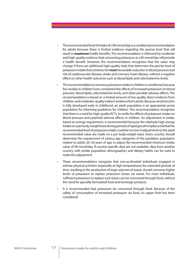- The recommended level of intake of ≥90 mmol/day is a conditional recommendation for adults because there is limited evidence regarding the precise level that will result in **maximum** health benefits. The recommendation is informed by moderate and high-quality evidence that consuming potassium at ≥90 mmol/day will provide a health benefit. However, the recommendation recognizes that the value may change if there are additional high-quality trials that determine the precise level of potassium intake that achieves the **most** favourable reduction in blood pressure and risk of cardiovascular disease, stroke and coronary heart disease, without a negative effect on other health outcomes such as blood lipids and catecholamine levels.
- The recommendation to increase potassium intake in children is conditional, because few studies in children have considered the effects of increased potassium on blood pressure, blood lipids, catecholamine levels, and other possible adverse effects. The recommendation is based on a limited amount of low-quality direct evidence from children, and moderate-quality indirect evidence from adults. Because renal function is fully developed early in childhood, an adult population is an appropriate proxy population for informing guidelines for children. This recommendation recognizes that there is a need for high-quality RCTs, to verify the effects of potassium intake on blood pressure and potential adverse effects in children. An adjustment in intake, based on energy requirement, is recommended because the relatively high energy intake on a per body-weight basis during periods of rapid growth implies a risk that the recommended level of potassium intake could be too low if adjustments to the adult recommended value are made on a per body-weight basis. Every country should determine the requirement of various age categories of the paediatric population relative to adults 20–50 years of age, to adjust the recommended minimum intake value of 90 mmol/day. If country-specific data are not available, data from another country with similar population demographics and dietary habits can be used to make this adjustment.
- These recommendations recognize that non-acclimated individuals engaged in intense physical activities (especially at high temperatures) for extended periods of time, resulting in the production of large volumes of sweat, should consume higher levels of potassium to replace potassium losses via sweat. For most individuals, sufficient potassium to replace such losses can be consumed through food, without the need for specially formulated food and beverage products.
- It is recommended that potassium be consumed through food. Because of the safety of consumption of increased potassium via food, no upper limit has been considered.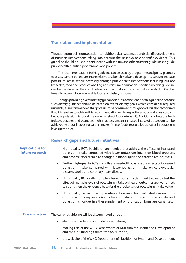# **Translation and implementation**

This nutrient quideline on potassium can aid the logical, systematic, and scientific development of nutrition interventions taking into account the best available scientific evidence. This guideline should be used in conjunction with sodium and other nutrient guidelines to guide public health nutrition programmes and policies.

The recommendations in this guideline can be used by programme and policy planners to assess current potassium intake relative to a benchmark and develop measures to increase potassium intake, where necessary, through public health interventions including, but not limited to, food and product labelling and consumer education. Additionally, this guideline can be translated at the country-level into culturally and contextually specific FBDGs that take into account locally available food and dietary customs.

Though providing overall dietary guidance is outside the scope of this guideline because such dietary guidance should be based on overall dietary goals, which consider all required nutrients, it is recommended that potassium be consumed through food. It is also recognized that it is feasible to achieve this recommendation while respecting national dietary customs because potassium is found in a wide variety of foods (Annex 2). Additionally, because fresh fruits, vegetables and beans are high in potassium, an increased intake of potassium can be achieved without increasing caloric intake if these foods replace foods lower in potassium levels in the diet.

## **Research gaps and future initiatives**

| <b>Implications for</b><br>future research | High-quality RCTs in children are needed that address the effects of increased<br>potassium intake compared with lower potassium intake on blood pressure,<br>and adverse effects such as changes in blood lipids and catecholamine levels.                       |
|--------------------------------------------|-------------------------------------------------------------------------------------------------------------------------------------------------------------------------------------------------------------------------------------------------------------------|
|                                            | Further high-quality RCTs in adults are needed that assess the effects of increased<br>$\bullet$<br>potassium intake compared with lower potassium intake on cardiovascular<br>disease, stroke and coronary heart disease.                                        |
|                                            | High-quality RCTs with multiple intervention arms designed to directly test the<br>$\bullet$<br>effect of multiple levels of potassium intake on health outcomes are warranted,<br>to strengthen the evidence base for the precise target potassium intake value. |
|                                            | High-quality trials with multiple intervention arms designed to test various forms<br>$\bullet$<br>of potassium compounds (i.e. potassium citrate, potassium bicarbonate and<br>potassium chloride), in either supplement or fortification form, are warranted.   |
| <b>Dissemination</b>                       | The current guideline will be disseminated through:                                                                                                                                                                                                               |
|                                            | electronic media such as slide presentations;<br>$\bullet$                                                                                                                                                                                                        |
|                                            | mailing lists of the WHO Department of Nutrition for Health and Development<br>$\bullet$<br>and the UN Standing Committee on Nutrition;                                                                                                                           |
|                                            | the web site of the WHO Department of Nutrition for Health and Development.<br>$\bullet$                                                                                                                                                                          |
|                                            |                                                                                                                                                                                                                                                                   |

**WHO| Guideline 18 Potassium intake for adults and children**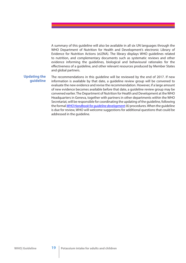A summary of this guideline will also be available in all six UN languages through the WHO Department of Nutrition for Health and Development's electronic Library of Evidence for Nutrition Actions (eLENA). The library displays WHO guidelines related to nutrition, and complementary documents such as systematic reviews and other evidence informing the guidelines, biological and behavioural rationales for the effectiveness of a guideline, and other relevant resources produced by Member States and global partners.

## **Updating the guideline**

The recommendations in this guideline will be reviewed by the end of 2017. If new information is available by that date, a guideline review group will be convened to evaluate the new evidence and revise the recommendation. However, if a large amount of new evidence becomes available before that date, a guideline review group may be convened earlier. The Department of Nutrition for Health and Development at the WHO Headquarters in Geneva, together with partners in other departments within the WHO Secretariat, will be responsible for coordinating the updating of the guideline, following the formal *WHO Handbook for guideline development (6)* procedures. When the guideline is due for review, WHO will welcome suggestions for additional questions that could be addressed in the guideline.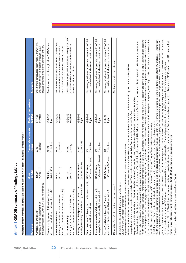| ļ<br>l                                      |
|---------------------------------------------|
| i<br>!<br>١<br>ľ                            |
| ֧֖֖֚֚֚֚֚֚֚֚֚֚֚֝<br>֧֪֚֝֝<br>֧ <u>֓</u><br>I |
| l<br>١                                      |
| l<br>i<br>t                                 |

| What is the effect of increased potassium intake relative                                                                 | to lower intake in adults (≥16 years of age)?             |                                     |                                           |                                                                                                                                                          |
|---------------------------------------------------------------------------------------------------------------------------|-----------------------------------------------------------|-------------------------------------|-------------------------------------------|----------------------------------------------------------------------------------------------------------------------------------------------------------|
| <b>Outcomes</b>                                                                                                           | (51%6)<br><b>Effect</b>                                   | Number of participants<br>(studies) | <b>Quality of the evidence</b><br>(GRADE) | <b>Comments</b>                                                                                                                                          |
| indicates increased risk with increased sodium intake)<br>(directly assessed; RR greater than 1<br>Cardiovascular disease | (0.70 to 1.11)<br>RR 0.88                                 | (4 studies)<br>29067                | $\oplus$ O $\oplus$<br>very low           | Data from cohort studies begin with a GRADE of low.<br>crossed threshold of relevance of benefit or harm.<br>Downgraded due to imprecision because 95%Cl |
| Stroke (directly assessed; RR less than 1 indicates<br>decreased risk with increased potassium intake)                    | (0.68 to 0.93)<br>RR 0.79                                 | (9 studies)<br>97152                | $\oplus$<br>$\geq$                        | Data from cohort studies begin with a GRADE of low.                                                                                                      |
| decreased risk with increased potassium intake)<br>(directly assessed; RR less than 1 indicates<br>Coronary heart disease | (0.77 to 1.24)<br>RR 0.97                                 | (3 studies)<br>31162                | $\oplus$<br>very low                      | Data from cohort studies begin with a GRADE of low.<br>crossed threshold of relevance of benefit or harm.<br>Downgraded due to imprecision because 95%Cl |
| decreased risk with increased potassium intake)<br>(directly assessed; RR less than 1 indicates<br>All cause mortality    | (0.91 to 1.29)<br>RR 1.08                                 | (1 study)<br>1448                   | $\theta$ ee<br>very low                   | Only one study reported this outcome. Downgraded due<br>to imprecision because 95%CI crossed threshold of<br>relevance of benefit or harm.               |
| months; units mmHg; better indicated by lower values)<br>Resting systolic blood pressure <sup>2</sup> (follow-up 1-36     | <b>MD 3.06 lower</b> <sup>3</sup><br>(4.70 to 1.42 lower) | (21 studies)<br>1892                | $\oplus \oplus \oplus$<br>high            |                                                                                                                                                          |
| Total cholesterol 4 (follow-up 1 - 2 months; units mmol/L;<br>better indicated by lower values)                           | (0.33 lower to 0.09 higher)<br>MD 0.12 lower              | (3 studies)<br>208                  | $\oplus \oplus \oplus$<br>high            | Not downgraded due to imprecision because 95%CI did<br>not cross threshold of relevance of benefit or harm.                                              |
| Plasma noradrenaline <sup>5</sup> (follow-up 1 - 1.5 months;<br>units pg/mL; better indicated by lower values)            | <b>MD 4.32 lower</b><br>(23.78 lower to 15.13 higher)     | (3 studies)<br>152                  | $\oplus \oplus \oplus$<br>high            | Not downgraded due to imprecision because 95%Cl did<br>not cross threshold of relevance of benefit or harm.                                              |
| units µmol/L; better indicated by lower values)<br>Serum Creatinine (follow-up 1 - 3 months;                              | <b>MD 4.86 lower</b><br>(13.59 lower to 3.87 higher)      | (3 studies)<br>147                  | $\oplus \oplus \oplus$<br>high            | Not downgraded due to imprecision because 95%Cl did<br>not cross threshold of relevance of benefit or harm.                                              |
| Minor side effects (better indicated by lower values)                                                                     |                                                           |                                     |                                           | No studies reported this outcome.                                                                                                                        |

CI, Confidence interval; RR, Risk ratio; MD, Mean difference. CI, Confidence interval; RR, Risk ratio; MD, Mean difference.

GRADE Working Group grades of evidence: GRADE Working Group grades of evidence:

**High quality:** We are very confident that the true effect lies close to that of the estimate of the effect. **High quality:** We are very confident that the true effect lies close to that of the estimate of the effect.

Moderate quality: We have moderate confidence in the effect estimate. The true effect is likely to be close to the estimate of the effect, but there is a possibility that it is substantially different. **Moderate quality:** We have moderate confidence in the effect estimate. The true effect is likely to be close to the estimate of the effect, but there is a possibility that it is substantially different.

Very low quality: We have very little confidence in the effect estimate. The true effect is likely to be substantially different from the estimate of the effect. Low quality: Our confidence in the effect estimate is limited. The true effect may be substantially different from the estimate of the effect. **Low quality:** Our confidence in the effect estimate is limited. The true effect may be substantially different from the estimate of the effect.

**Very low quality:** We have very little confidence in the effect estimate. The true effect is likely to be substantially different from the estimate of the effect.<br>"Composite cardiovascular disease as reported by original Composite cardiovascular disease as reported by original study authors. This variable included some or all of the following: fatal and non-fatal stroke, coronary heart disease, myocardial infarction, and/or congestive cardiac failure, or episode of coronary revascularization, bypass grafting, and/or angioplasty. cardiac failure, or episode of coronary revascularization, bypass grafting, and/or angioplasty.

(MD 2.84 mmHg lower (4.66 to 1.01 lower)) (quality of evidence high); a meta-analysis of four RCTs with four comparisons reporting ambulatory systolic blood pressure is supportive of a benefit of increased potassium on blood pressure (MD 3.04 to 0.66 lower)) (quality of evidence moderate); and a meta-analysis of four RCTs with four comparisons reporting ambulatory diastolic blood pressure is consistent with a <sup>2</sup> Additional evidence from a meta-analysis of 21 randomized-controlled trials (RCTs) with 21 comparisons reporting resting diastolic blood pressure is supportive of a benefit of increased potassium on blood pressure MD 2.84 mmHg lower (4.66 to 1.01 lower)) (quality of evidence high); a meta-analysis of four RCTs with four comparisons reporting ambulatory systolic blood pressure is supportive of a benefit of increased potassium Additional evidence from a meta-analysis of 21 randomized-controlled trials (RCTs) with 21 comparisons reporting resting diastolic blood pressure is supportive of a benefit of increased potassium on blood pressure on blood pressure (MD 3.04 mmHg lower (S.42 to 0.66 lower)) (quality of evidence moderate); and a meta-analysis of four RCTs with four comparisons reporting ambulatory diastolic blood pressure is consistent with a benefit of increased potassium on blood pressure (MD 1.24 lower (3.13 lower to 0.66 higher))(quality of evidence moderate).

A MD described as 'lower' signifies a reduction in the outcome in the increased potassium versus the lower potassium group.

glyceride concentration that is supportive of no effect of increased potassium on blood lipids (MD 0.11 mmol/L lower to 0.26 higher)) (quality of evidence high). There was only one RCT in the literature that benefit of increased potassium on blood pressure (MD 1.24 lower (3.13 lower to 0.66 higher))(quality of evidence moderate).<br>\* A MD described as 'lower' signifies a reduction in the outcome in the increased potassium versus Additional evidence on the relationship between potassium intake and blood lipids comes from a meta-analysis of two RCTs with two comparisons reporting high-density lipoprotein (HDL) cholesterol concentration glyceride concentration that is supportive of no effect of increased potassium on blood lipids (MD 0.11 mmol/L lower (0.48 lower to 0.26 higher)) (quality of evidence high). There was only one RCT in the literature that that is supportive of no effect of increased potassium in blood lipids (MD 0.01 mmo/L lower (0.13 lower to 0.11 higher)) (quality of evidence high), and a meta-analysis of two RCTs with two comparisons reporting trithat is supportive of no e"ect of increased potassium in blood lipids (MD 0.01 mmol/L lower (0.13 lower to 0.11 higher)) (quality of evidence high), and a meta-analysis of two RCTs with two comparisons reporting trireported low-density lipoprotein (LDL) cholesterol concentration and it was consistent with no effect of increased potassium on blood lipids (MD 0.10 mmo/L lower to 0.18 higher).<br>A meta-analysis of three RCTs with three co eported low-density lipoprotein (LDL) cholesterol concentration and it was consistent with no effect of increased potassium on blood lipids (MD 0.10 mmol/L lower (0.38 lower to 0.18 higher).

A meta-analysis of three RCTs with three comparisons reporting plasma adrenaline concentration is supportive of no effect of increased potassium on catecholamine levels (MD 3.94 pg/mL lower (0.124) lower to 1.34 nigher)) (quality of evidence high). There were no studies identified that reported urinary catecholamine levels. higher)) (quality of evidence high). There were no studies identified that reported urinary catecholamine levels.

For details on studies included in the reviews, see references (44, 45). For details on studies included in the reviews, see references *(44, 45)*.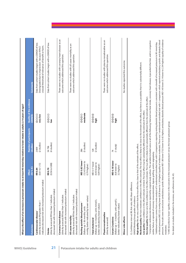| crossed threshold of relevance of benefit or harm.<br>Downgraded due to imprecision because 95%Cl<br>outcome which addressed this question.<br>outcome which addressed this question.<br>outcome which addressed this question.<br>moderate<br>$\oplus \oplus \oplus \ominus$<br>$\oplus \oplus \oplus \oplus$<br>$\oplus$<br>$\oplus \oplus \oplus$<br>$\oplus$<br>very low<br>high<br>high<br>$\geq$<br>(2 studies)<br>(4 studies)<br>(5 studies)<br>(2 studies)<br>$(1$ study)<br>54796<br>2809<br>286<br>128<br>$\overline{7}$<br>MD 5.82 lower <sup>3</sup><br>MD 0.18 lower<br>$(12.43$ lower to<br>MD <sub>0.17</sub> lower<br>$(0.43$ lower to<br>(0.56 to 0.88)<br>(0.61 to 1.15)<br>(6.8 lower to<br>0.79 higher)<br>0.09 higher)<br>3.3 higher)<br>RR 0.70<br>RR 0.84<br>indicates decreased risk with increased potassium intake)<br>decreased risk with increased potassium intake)<br>decreased risk with increased potassium intake)<br>decreased risk with increased potassium intake)<br>(directly assessed; RR less than 1 indicates<br>(directly assessed; RR less than 1 indicates<br>(directly assessed; RR less than 1 indicates<br>mmHg; better indicated by lower values)<br>(follow-up 1 - 3 months; units µmol/L;<br>(follow-up 1.5 months; units mmol/L;<br>(directly assessed; RR greater than 1<br>Resting systolic blood pressure <sup>2</sup><br>better indicated by lower values)<br>better indicated by lower values)<br>(follow-up 1-36 months; units<br>Cardiovascular disease<br>Coronary heart disease<br>Plasma noradrenaline<br>All cause mortality<br>Minor side effects<br>Serum Creatinine<br>(directly assessed)<br><b>Total cholesterol</b><br><b>Stroke</b> | on blood pressure (MD 3.52 mmHg lower (8.28 lower to 1.24 higher) (quality of evidence moderate). There was 1 randomized-controlled trial with 1 comparison which reported ambulatory systolic and diastolic blood<br>Composite cardiovascular disease as reported by original study authors. This variable included some or all of the following: fatal and non-fatal stroke, coronary heart disease, myocardial infarction, and/or congestive<br>? Additional evidence comes from a meta-analysis of 5 randomized-controlled trials with 5 comparisons reporting resting diastolic blood pressure is consistent with a benefit of increased potassium to 90 mmol/day<br>No studies reported this outcome.<br>Moderate quality: We have moderate confidence in the effect estimate. The true effect is likely to be close to the estimate of the effect, but there is a possibility that it is substantially different.<br>Very low quality: We have very little confidence in the effect estimate. The true effect is likely to be substantially different from the estimate of the effect.<br>Low quality: Our confidence in the effect estimate is limited. The true effect may be substantially different from the estimate of the effect.<br>to that of the estimate of the effect.<br>cardiac failure, or episode of coronary revascularization, bypass grafting, and/or angioplasty.<br>High quality: We are very confident that the true effect lies close<br>CI, Confidence interval; RR, Risk ratio; MD, Mean difference.<br>GRADE Working Group grades of evidence: | <b>Outcomes</b> | $(95\%1)$<br><b>Effect</b> | participants<br>Number of<br>(studies) | Quality of the evidence<br><b>GRADE)</b> | Comments                                                |
|----------------------------------------------------------------------------------------------------------------------------------------------------------------------------------------------------------------------------------------------------------------------------------------------------------------------------------------------------------------------------------------------------------------------------------------------------------------------------------------------------------------------------------------------------------------------------------------------------------------------------------------------------------------------------------------------------------------------------------------------------------------------------------------------------------------------------------------------------------------------------------------------------------------------------------------------------------------------------------------------------------------------------------------------------------------------------------------------------------------------------------------------------------------------------------------------------------------------------------------------------------------------------------------------------------------------------------------------------------------------------------------------------------------------------------------------------------------------------------------------------------------------------------------------------------------------------------------------------------------------------------------------------------------------------------------------------------|---------------------------------------------------------------------------------------------------------------------------------------------------------------------------------------------------------------------------------------------------------------------------------------------------------------------------------------------------------------------------------------------------------------------------------------------------------------------------------------------------------------------------------------------------------------------------------------------------------------------------------------------------------------------------------------------------------------------------------------------------------------------------------------------------------------------------------------------------------------------------------------------------------------------------------------------------------------------------------------------------------------------------------------------------------------------------------------------------------------------------------------------------------------------------------------------------------------------------------------------------------------------------------------------------------------------------------------------------------------------------------------------------------------------------------------------------------------------------------------------------------------------------------------------------------------------------------|-----------------|----------------------------|----------------------------------------|------------------------------------------|---------------------------------------------------------|
|                                                                                                                                                                                                                                                                                                                                                                                                                                                                                                                                                                                                                                                                                                                                                                                                                                                                                                                                                                                                                                                                                                                                                                                                                                                                                                                                                                                                                                                                                                                                                                                                                                                                                                          |                                                                                                                                                                                                                                                                                                                                                                                                                                                                                                                                                                                                                                                                                                                                                                                                                                                                                                                                                                                                                                                                                                                                                                                                                                                                                                                                                                                                                                                                                                                                                                                 |                 |                            |                                        |                                          | Data from cohort studies begin with a GRADE of low.     |
|                                                                                                                                                                                                                                                                                                                                                                                                                                                                                                                                                                                                                                                                                                                                                                                                                                                                                                                                                                                                                                                                                                                                                                                                                                                                                                                                                                                                                                                                                                                                                                                                                                                                                                          |                                                                                                                                                                                                                                                                                                                                                                                                                                                                                                                                                                                                                                                                                                                                                                                                                                                                                                                                                                                                                                                                                                                                                                                                                                                                                                                                                                                                                                                                                                                                                                                 |                 |                            |                                        |                                          | Data from cohort studies begin with a GRADE of low.     |
|                                                                                                                                                                                                                                                                                                                                                                                                                                                                                                                                                                                                                                                                                                                                                                                                                                                                                                                                                                                                                                                                                                                                                                                                                                                                                                                                                                                                                                                                                                                                                                                                                                                                                                          |                                                                                                                                                                                                                                                                                                                                                                                                                                                                                                                                                                                                                                                                                                                                                                                                                                                                                                                                                                                                                                                                                                                                                                                                                                                                                                                                                                                                                                                                                                                                                                                 |                 |                            |                                        |                                          | There were no studies with coronary heart disease as an |
|                                                                                                                                                                                                                                                                                                                                                                                                                                                                                                                                                                                                                                                                                                                                                                                                                                                                                                                                                                                                                                                                                                                                                                                                                                                                                                                                                                                                                                                                                                                                                                                                                                                                                                          |                                                                                                                                                                                                                                                                                                                                                                                                                                                                                                                                                                                                                                                                                                                                                                                                                                                                                                                                                                                                                                                                                                                                                                                                                                                                                                                                                                                                                                                                                                                                                                                 |                 |                            |                                        |                                          | There were no studies with all cause mortality as an    |
|                                                                                                                                                                                                                                                                                                                                                                                                                                                                                                                                                                                                                                                                                                                                                                                                                                                                                                                                                                                                                                                                                                                                                                                                                                                                                                                                                                                                                                                                                                                                                                                                                                                                                                          |                                                                                                                                                                                                                                                                                                                                                                                                                                                                                                                                                                                                                                                                                                                                                                                                                                                                                                                                                                                                                                                                                                                                                                                                                                                                                                                                                                                                                                                                                                                                                                                 |                 |                            |                                        |                                          |                                                         |
|                                                                                                                                                                                                                                                                                                                                                                                                                                                                                                                                                                                                                                                                                                                                                                                                                                                                                                                                                                                                                                                                                                                                                                                                                                                                                                                                                                                                                                                                                                                                                                                                                                                                                                          |                                                                                                                                                                                                                                                                                                                                                                                                                                                                                                                                                                                                                                                                                                                                                                                                                                                                                                                                                                                                                                                                                                                                                                                                                                                                                                                                                                                                                                                                                                                                                                                 |                 |                            |                                        |                                          |                                                         |
|                                                                                                                                                                                                                                                                                                                                                                                                                                                                                                                                                                                                                                                                                                                                                                                                                                                                                                                                                                                                                                                                                                                                                                                                                                                                                                                                                                                                                                                                                                                                                                                                                                                                                                          |                                                                                                                                                                                                                                                                                                                                                                                                                                                                                                                                                                                                                                                                                                                                                                                                                                                                                                                                                                                                                                                                                                                                                                                                                                                                                                                                                                                                                                                                                                                                                                                 |                 |                            |                                        |                                          | There were no studies with plasma noradrenaline as an   |
|                                                                                                                                                                                                                                                                                                                                                                                                                                                                                                                                                                                                                                                                                                                                                                                                                                                                                                                                                                                                                                                                                                                                                                                                                                                                                                                                                                                                                                                                                                                                                                                                                                                                                                          |                                                                                                                                                                                                                                                                                                                                                                                                                                                                                                                                                                                                                                                                                                                                                                                                                                                                                                                                                                                                                                                                                                                                                                                                                                                                                                                                                                                                                                                                                                                                                                                 |                 |                            |                                        |                                          |                                                         |
|                                                                                                                                                                                                                                                                                                                                                                                                                                                                                                                                                                                                                                                                                                                                                                                                                                                                                                                                                                                                                                                                                                                                                                                                                                                                                                                                                                                                                                                                                                                                                                                                                                                                                                          |                                                                                                                                                                                                                                                                                                                                                                                                                                                                                                                                                                                                                                                                                                                                                                                                                                                                                                                                                                                                                                                                                                                                                                                                                                                                                                                                                                                                                                                                                                                                                                                 |                 |                            |                                        |                                          |                                                         |
|                                                                                                                                                                                                                                                                                                                                                                                                                                                                                                                                                                                                                                                                                                                                                                                                                                                                                                                                                                                                                                                                                                                                                                                                                                                                                                                                                                                                                                                                                                                                                                                                                                                                                                          |                                                                                                                                                                                                                                                                                                                                                                                                                                                                                                                                                                                                                                                                                                                                                                                                                                                                                                                                                                                                                                                                                                                                                                                                                                                                                                                                                                                                                                                                                                                                                                                 |                 |                            |                                        |                                          |                                                         |
|                                                                                                                                                                                                                                                                                                                                                                                                                                                                                                                                                                                                                                                                                                                                                                                                                                                                                                                                                                                                                                                                                                                                                                                                                                                                                                                                                                                                                                                                                                                                                                                                                                                                                                          | pressure. The results were inconclusive (ambulatory systolic blood pressure MD 1.80 lower (7.02 lower to 3.42 higher); ambulatory diastolic blood pressure MD 1.40 lower (5.14 lower to 2.34 higher) (quality of evidence                                                                                                                                                                                                                                                                                                                                                                                                                                                                                                                                                                                                                                                                                                                                                                                                                                                                                                                                                                                                                                                                                                                                                                                                                                                                                                                                                       |                 |                            |                                        |                                          |                                                         |

For details on studies included in the reviews, see references (44, 45). For details on studies included in the reviews, see references *(44, 45*).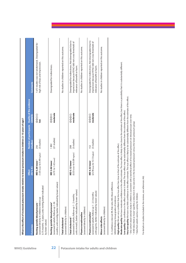| <b>Outcomes</b>                                                                                                                                         | $(95\%1C)$<br><b>Effect</b>                               | Number of participants Quality of the evidence<br>(studies) | <b>GRADE</b>                       | <b>Comments</b>                                                                                                                             |
|---------------------------------------------------------------------------------------------------------------------------------------------------------|-----------------------------------------------------------|-------------------------------------------------------------|------------------------------------|---------------------------------------------------------------------------------------------------------------------------------------------|
| 0.75 months - 3 years; units mmHg; better indicated<br>(assessed directly in children; follow-up<br>Resting systolic blood pressure<br>by lower values) | (1.05 lower to 0.49 higher)<br>MD 0.28 lower <sup>2</sup> | (3 studies)<br>256                                          | $\oplus$<br>$\geq$                 | 1 of 3 studies was not randomized. Downgraded for<br>high risk of bias and imprecision.                                                     |
| months; units mmHg; better indicated by lower values)<br>(assessed in adults; follow-up 1-36<br>Resting systolic blood pressure <sup>3</sup>            | $(4.70 \text{ to } 1.42 \text{ lower})$<br>MD 3.06 lower  | (21 studies)<br>1892                                        | moderate<br>$\oplus \oplus \oplus$ | Downgraded for indirectness.                                                                                                                |
| (assessed directly in children)<br><b>Total cholesterol</b>                                                                                             |                                                           |                                                             |                                    | No studies in children reported on this outcome.                                                                                            |
| units mmol/L; better indicated by lower values)<br>(assessed in adults; follow-up 1 - 2 months;<br>Total cholesterol <sup>3</sup>                       | $(0.33$ lower to $0.09$ higher)<br>MD 0.12 lower          | (3 studies)<br>208                                          | moderate<br>$\oplus \oplus \oplus$ | Downgraded for indirectness. Not downgraded due to<br>imprecision because 95%CI did not cross threshold of<br>relevance of benefit or harm. |
| (assessed directly in children)<br>Plasma noradrenaline                                                                                                 |                                                           |                                                             |                                    | No studies in children reported on this outcome.                                                                                            |
| units pg/mL; better indicated by lower values)<br>(assessed in adults; follow-up 1 - 2.5 months;<br>Plasma noradrenaline <sup>3</sup>                   | (23.78 lower to 15.13 higher)<br>MD 4.32 lower            | (3 studies)<br>152                                          | moderate<br>$\oplus \oplus \oplus$ | Downgraded for indirectness. Not downgraded due to<br>imprecision because 95%CI did not cross threshold of<br>relevance of benefit or harm. |
| (assessed directly in children)<br>Minor side effects                                                                                                   |                                                           |                                                             |                                    | No studies in children reported on this outcome.                                                                                            |

For details on studies included in the reviews, see references (46). For details on studies included in the reviews, see references *(46).*

3 Data from adults used as a proxy for children.

<sup>3</sup> Data from adults used as a proxy for children.

**High quality:** We are very confident that the true effect lies close to that of the estimate of the effect.

**Moderate quality:** We have moderate confidence in the effect estimate. The true effect is likely to be close to the estimate of the effect, but there is a possibility that it is substantially different.

Moderate quality: We have moderate confidence in the effect estimate. The true effect is likely to be close to the estimate of the effect, but there is a possibility that it is substantially different.

**Low quality:** Our confidence in the effect estimate is limited. The true effect may be substantially different from the estimate of the effect.

Low quality: Our confidence in the effect estimate is limited. The true effect may be substantially different from the estimate of the effect.

**Very low quality:** We have very little confidence in the effect estimate. The true effect is likely to be substantially different from the estimate of the effect.

Very low quality: We have very little confidence in the effect estimate. The true effect is likely to be substantially different from the estimate of the effect.

<sup>1</sup> One cohort observational study in children is consistent with a beneficial effect of increased potassium on blood pressure over time. <sup>2</sup> A MD described as 'lower' signifies a reduction in the outcome in the increased potassium versus the lower potassium group

<sup>1</sup> One cohort observational study in children is consistent with a beneficial effect of increased potassium on blood pressure over time. P A MD described as 'lower' signifies a reduction in the outcome in the increased potassium versus the lower potassium group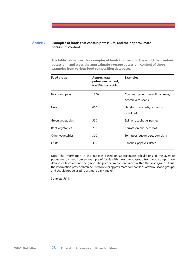#### **Examples of foods that contain potassium, and their approximate potassium content Annex 2**

**The table below provides examples of foods from around the world that contain potassium, and gives the approximate average potassium content of those examples from various food composition databases.**

| <b>Food group</b> | <b>Approximate</b><br>potassium content,<br>(mg/100g fresh weight) | <b>Examples</b>                                        |
|-------------------|--------------------------------------------------------------------|--------------------------------------------------------|
| Beans and peas    | 1300                                                               | Cowpeas, pigeon peas, lima beans,<br>African yam beans |
| <b>Nuts</b>       | 600                                                                | Hazelnuts, walnuts, cashew nuts,<br>brazil nuts        |
| Green vegetables  | 550                                                                | Spinach, cabbage, parsley                              |
| Root vegetables   | 200                                                                | Carrots, onions, beetroot                              |
| Other vegetables  | 300                                                                | Tomatoes, cucumbers, pumpkins                          |
| Fruits            | 300                                                                | Bananas, papayas, dates                                |

Note: The information in this table is based on approximate calculations of the average potassium content from an example of foods within each food group from food composition databases from around the globe. The potassium content varies within the food groups. Thus, the information provided can be used only for approximate comparisons of various food groups, and should not be used to estimate daily intake.

Sources: (*56-61*)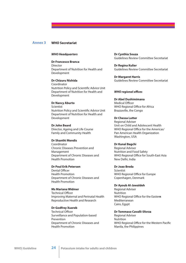#### **WHO Secretariat Annex 3**

#### *WHO Headquarters*

**Dr Francesco Branca** Director Department of Nutrition for Health and Development

**Dr Chizuru Nishida** Coordinator Nutrition Policy and Scientific Advice Unit Department of Nutrition for Health and Development

**Dr Nancy Aburto Scientist** Nutrition Policy and Scientific Advice Unit Department of Nutrition for Health and Development

**Dr John Beard** Director, Ageing and Life Course Family and Community Health

**Dr Shanthi Mendis** Coordinator Chronic Diseases Prevention and

Management Department of Chronic Diseases and Health Promotion

**Dr Poul Erik Petersen**

Dental Officer Health Promotion Department of Chronic Diseases and Health Promotion

**Ms Mariana Widmer Technical Officer** Improving Maternal and Perinatal Health Reproductive Health and Research

**Dr Godfrey Xuereb** Technical Officer Surveillance and Population-based Prevention Department of Chronic Diseases and Health Promotion

**Dr Cynthia Souza** Guidelines Review Committee Secretariat

**Dr Regina Kulier** Guidelines Review Committee Secretariat

**Dr Margaret Harris** Guidelines Review Committee Secretariat

#### *WHO regional o***!***ces*

**Dr Abel Dushimimana** Medical Officer WHO Regional Office for Africa Brazzaville, the Congo

## **Dr Chessa Lutter**

Regional Adviser Unit on Child and Adolescent Health WHO Regional Office for the Americas/ Pan American Health Organization Washington, USA

#### **Dr Kunal Bagchi**

Regional Adviser Nutrition and Food Safety WHO Regional Office for South-East Asia New Delhi, India

**Dr Joao Breda** Scientist WHO Regional Office for Europe Copenhagen, Denmark

**Dr Ayoub Al-Jawaldeh** Regional Adviser Nutrition WHO Regional Office for the Eastern Mediterranean Cairo, Egypt

**Dr Tommaso Cavalli-Sforza** Regional Adviser Nutrition WHO Regional Office for the Western Pacific Manila, the Philippines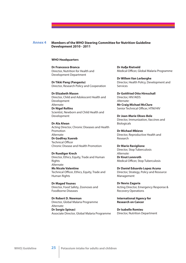#### **Members of the WHO Steering Committee for Nutrition Guideline Development 2010 - 2011 Annex 4**

#### **WHO Headquarters**

**Dr Francesco Branca** Director, Nutrition for Health and Development Department

**Dr Tikki Pang (Pangestu)** Director, Research Policy and Cooperation

**Dr Elizabeth Mason** Director, Child and Adolescent Health and Development *Alternate:* **Dr Nigel Rollins**

Scientist, Newborn and Child Health and Development

**Dr Ala Alwan** Acting Director, Chronic Diseases and Health Promotion *Alternate:* **Dr Godfrey Xuereb Technical Officer** Chronic Disease and Health Promotion

**Dr Ruediger Krech** Director, Ethics, Equity, Trade and Human Rights *Alternate:*  **Ms Nicole Valentine**

Technical Officer, Ethics, Equity, Trade and Human Rights

**Dr Maged Younes** Director, Food Safety, Zoonoses and Foodborne Diseases

**Dr Robert D. Newman** Director, Global Malaria Programme *Alternate:*  **Dr Sergio Spinaci** Associate Director, Global Malaria Programme **Dr Aa%e Rietveld** Medical Officer, Global Malaria Programme

**Dr Willem Van Lerberghe** Director, Health Policy, Development and Services

**Dr Gottfried Otto Hirnschall** Director, HIV/AIDS *Alternate:*  **Mr Craig Michael McClure** Senior Technical Officer, HTM/HIV

**Dr Jean-Marie Okwo-Bele** Director, Immunization, Vaccines and Biologicals

**Dr Michael Mbizvo** Director, Reproductive Health and Research

**Dr Mario Raviglione** Director, Stop Tuberculosis *Alternate:*  **Dr Knut Lonnroth** Medical Officer, Stop Tuberculosis

**Dr Daniel Eduardo Lopez Acuna** Director, Strategy, Policy and Resource Management

**Dr Nevio Zagaria** Acting Director, Emergency Response & Recovery Operations

**International Agency for Research on Cancer**

**Dr Isabelle Romieu** Director, Nutrition Department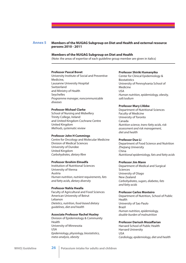#### **Members of the NUGAG Subgroup on Diet and Health and external resource persons 2010 - 2011 Annex 5**

### **Members of the NUGAG Subgroup on Diet and Health**

(Note: the areas of expertise of each guideline group member are given in italics)

#### **Professor Pascal Bovet**

University Institute of Social and Preventive Medicine, Lausanne University Hospital Switzerland and Ministry of Health Seychelles *Programme manager, noncommunicable diseases*

#### **Professor Michael Clarke**

School of Nursing and Midwifery Trinity College, Ireland and United Kingdom Cochrane Centre United Kingdom *Methods, systematic review*

#### **Professor John H Cummings**

Centre for Oncology and Molecular Medicine Division of Medical Sciences University of Dundee United Kingdom *Carbohydrates, dietary* !*bre*

#### **Professor Ibrahim Elmadfa**

Institution of Nutritional Sciences University of Vienna Austria *Human nutrition, nutrient requirements, fats and fatty acids, dietary diversity*

#### **Professor Nahla Hwalla**

Faculty of Agricultural and Food Sciences American University of Beirut Lebanon *Dietetics, nutrition, food-based dietary guidelines, diet and health*

## **Associate Professor Rachel Huxley**

Division of Epidemiology & Community Health University of Minnesota USA *Epidemiology, physiology, biostatistics, meta-analysis, obesity*

#### **Professor Shiriki Kumanyika**

Center for Clinical Epidemiology & Biostatistics University of Pennsylvania School of Medicine USA *Human nutrition, epidemiology, obesity, salt/sodium*

#### **Professor Mary L'Abbe**

Department of Nutritional Sciences Faculty of Medicine University of Toronto Canada *Nutrition science, trans-fatty acids, risk assessment and risk management, diet and health*

#### **Professor Duo Li**

Department of Food Science and Nutrition Zhejiang University China *Nutritional epidemiology, fats and fatty acids*

#### **Professor Jim Mann**

Department of Medical and Surgical Sciences University of Otago New Zealand *Carbohydrates, sugars, diabetes, fats and fatty acids*

#### **Professor Carlos Monteiro**

Department of Nutrition, School of Public Health University of Sao Paulo Brazil *Human nutrition, epidemiology, double-burden of malnutrition*

#### **Professor Dariush Moza#arian**

Harvard School of Public Health Harvard University USA *Cardiology, epidemiology, diet and health*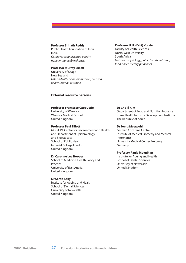#### **Professor Srinath Reddy**

Public Health Foundation of India India *Cardiovascular diseases, obesity, noncommunicable diseases*

## **Professor Murray Skea#**

University of Otago New Zealand *Fats and fatty acids, biomarkers, diet and health, human nutrition*

#### **Professor H.H. (Esté) Vorster**

Faculty of Health Sciences North-West University South Africa *Nutrition physiology, public health nutrition, food-based dietary guidelines*

#### **External resource persons**

## **Professor Francesco Cappuccio**

University of Warwick Warwick Medical School United Kingdom

## **Professor Paul Elliott**

MRC-HPA Centre for Environment and Health and Department of Epidemiology and Biostatistics School of Public Health Imperial College London United Kingdom

#### **Dr Caroline Lee Hooper**

School of Medicine, Health Policy and Practice University of East Anglia United Kingdom

#### **Dr Sarah Kelly**

Institute for Ageing and Health School of Dental Sciences University of Newcastle United Kingdom

#### **Dr Cho-il Kim**

Department of Food and Nutrition Industry Korea Health Industry Development Institute The Republic of Korea

## **Dr Joerg Meerpohl**

German Cochrane Centre Institute of Medical Biometry and Medical Informatics University Medical Center Freiburg Germany

#### **Professor Paula Moynihan**

Institute for Ageing and Health School of Dental Sciences University of Newcastle United Kingdom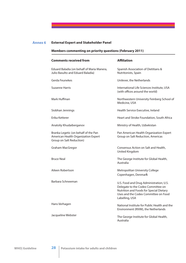# **Annex 6 External Expert and Stakeholder Panel**

# **Members commenting on priority questions (February 2011)**

| <b>Comments received from</b>                                                                           | <b>Affiliation</b>                                                                                                                                                                 |
|---------------------------------------------------------------------------------------------------------|------------------------------------------------------------------------------------------------------------------------------------------------------------------------------------|
| Eduard Baladia (on behalf of Maria Manera,<br>Julio Basulto and Eduard Baladia)                         | Spanish Association of Dietitians &<br>Nutritonists, Spain                                                                                                                         |
| Gerda Feunekes                                                                                          | Unilever, the Netherlands                                                                                                                                                          |
| Suzanne Harris                                                                                          | International Life Sciences Institute, USA<br>(with offices around the world)                                                                                                      |
| Mark Huffman                                                                                            | Northwestern University Feinberg School of<br>Medicine, USA                                                                                                                        |
| Siobhan Jennings                                                                                        | Health Service Executive, Ireland                                                                                                                                                  |
| Erika Ketterer                                                                                          | Heart and Stroke Foundation, South Africa                                                                                                                                          |
| Anatoliy Khudaiberganov                                                                                 | Ministry of Health, Uzbekistan                                                                                                                                                     |
| Branka Legetic (on behalf of the Pan<br>American Health Organization Expert<br>Group on Salt Reduction) | Pan American Health Organization Expert<br>Group on Salt Reduction, Americas                                                                                                       |
| Graham MacGregor                                                                                        | Consensus Action on Salt and Health,<br>United Kingdom                                                                                                                             |
| <b>Bruce Neal</b>                                                                                       | The George Institute for Global Health,<br>Australia                                                                                                                               |
| Aileen Robertson                                                                                        | Metropolitan University College<br>Copenhagen, Denmark                                                                                                                             |
| Barbara Schneeman                                                                                       | U.S. Food and Drug Administration; U.S.<br>Delegate to the Codex Committee on<br>Nutrition and Foods for Special Dietary<br>Uses and the Codex Committee on Food<br>Labelling, USA |
| Hans Verhagen                                                                                           | National Institute for Public Health and the<br>Environment (RIVM), the Netherlands                                                                                                |
| Jacqueline Webster                                                                                      | The George Institute for Global Health,<br>Australia                                                                                                                               |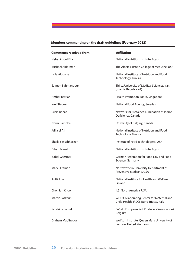# **Members commenting on the draft guidelines (February 2012)**

| <b>Comments received from</b> | <b>Affiliation</b>                                                                    |
|-------------------------------|---------------------------------------------------------------------------------------|
| Nebal Aboul Ella              | National Nutrition Institute, Egypt                                                   |
| Michael Alderman              | The Albert Einstein College of Medicine, USA                                          |
| Leila Alouane                 | National Institute of Nutrition and Food<br>Technology, Tunisia                       |
| Salmeh Bahmanpour             | Shiraz University of Medical Sciences, Iran<br>(Islamic Republic of)                  |
| Amber Bastian                 | Health Promotion Board, Singapore                                                     |
| <b>Wulf Becker</b>            | National Food Agency, Sweden                                                          |
| Lucie Bohac                   | Network for Sustained Flimination of Jodine<br>Deficiency, Canada                     |
| Norm Campbell                 | University of Calgary, Canada                                                         |
| Jalila el Ati                 | National Institute of Nutrition and Food<br>Technology, Tunisia                       |
| Sheila Fleischhacker          | Institute of Food Technologists, USA                                                  |
| Gihan Fouad                   | National Nutrition Institute, Egypt                                                   |
| <b>Isabel Gaertner</b>        | German Federation for Food Law and Food<br>Science, Germany                           |
| Mark Huffman                  | Northwestern University Department of<br>Preventive Medicine, USA                     |
| Antti Jula                    | National Institute for Health and Welfare,<br>Finland                                 |
| Chor San Khoo                 | <b>ILSI North America, USA</b>                                                        |
| Marzia Lazzerini              | WHO Collaborating Center for Maternal and<br>Child Health, IRCCS Burlo Trieste, Italy |
| Sandrine Lauret               | EuSalt (European Salt Producers' Association),<br>Belgium                             |
| Graham MacGregor              | Wolfson Institute, Queen Mary University of<br>London, United Kingdom                 |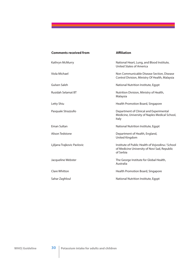| <b>Comments received from</b> | <b>Affiliation</b>                                                                                            |
|-------------------------------|---------------------------------------------------------------------------------------------------------------|
| Kathryn McMurry               | National Heart, Lung, and Blood Institute,<br><b>United States of America</b>                                 |
| Viola Michael                 | Non Communicable Disease Section, Disease<br>Control Division, Ministry Of Health, Malaysia                   |
| Gulsen Saleh                  | National Nutrition Institute, Egypt                                                                           |
| <b>Rusidah Selamat BT</b>     | Nutrition Division, Ministry of Health,<br>Malaysia                                                           |
| Letty Shiu                    | Health Promotion Board, Singapore                                                                             |
| Pasquale Strazzullo           | Department of Clinical and Experimental<br>Medicine, University of Naples Medical School,<br>Italy            |
| Eman Sultan                   | National Nutrition Institute, Egypt                                                                           |
| Alison Tedstone               | Department of Health, England,<br>United Kingdom                                                              |
| Ljiljana Trajkovic Pavlovic   | Institute of Public Health of Vojvodina / School<br>of Medicine University of Novi Sad, Republic<br>of Serbia |
| Jacqueline Webster            | The George Institute for Global Health,<br>Australia                                                          |
| Clare Whitton                 | Health Promotion Board, Singapore                                                                             |
| Sahar Zaghloul                | National Nutrition Institute, Egypt                                                                           |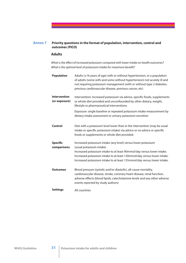#### **Priority questions in the format of population, intervention, control and outcomes (PICO) Annex 7**

## **Adults**

*What is the e*#*ect of increased potassium compared with lower intake on health outcomes? What is the optimal level of potassium intake for maximum benefit?* 

| <b>Population</b>              | Adults ( $\geq$ 16 years of age) with or without hypertension, or a population<br>of adults (some with and some without hypertension) not acutely ill and<br>not requiring potassium management (with or without type 2 diabetes,<br>previous cardiovascular disease, previous cancer, etc) |
|--------------------------------|---------------------------------------------------------------------------------------------------------------------------------------------------------------------------------------------------------------------------------------------------------------------------------------------|
| <b>Intervention</b>            | Intervention: increased potassium via advice, specific foods, supplements                                                                                                                                                                                                                   |
| (or exposure)                  | or whole diet provided and unconfounded by other dietary, weight,<br>lifestyle or pharmaceutical interventions.                                                                                                                                                                             |
|                                | Exposure: single baseline or repeated potassium intake measurement by<br>dietary intake assessment or urinary potassium excretion                                                                                                                                                           |
| Control                        | Diet with a potassium level lower than in the intervention (may be usual<br>intake or specific potassium intake) via advice or no advice or specific<br>foods or supplements or whole diet provided.                                                                                        |
| <b>Specific</b><br>comparisons | Increased potassium intake (any level) versus lower potassium<br>(usual potassium intake)                                                                                                                                                                                                   |
|                                | Increased potassium intake to at least 90mmol/day versus lower intake.<br>Increased potassium intake to at least 120mmol/day versus lower intake.<br>Increased potassium intake to at least 155mmol/day versus lower intake.                                                                |
| <b>Outcomes</b>                | Blood pressure (systolic and/or diastolic), all-cause mortality,<br>cardiovascular disease, stroke, coronary heart disease, renal function,<br>adverse effects (blood lipids, catecholamine levels and any other adverse<br>events reported by study authors)                               |
| <b>Settings</b>                | All countries                                                                                                                                                                                                                                                                               |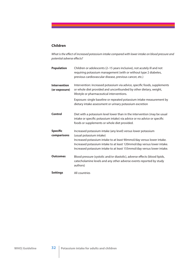# **Children**

What is the effect of increased potassium intake compared with lower intake on blood pressure and  $p$ otential adverse effects?

| <b>Population</b>                    | Children or adolescents (2-15 years inclusive), not acutely ill and not<br>requiring potassium management (with or without type 2 diabetes,<br>previous cardiovascular disease, previous cancer, etc.)                                                                                                                    |
|--------------------------------------|---------------------------------------------------------------------------------------------------------------------------------------------------------------------------------------------------------------------------------------------------------------------------------------------------------------------------|
| <b>Intervention</b><br>(or exposure) | Intervention: increased potassium via advice, specific foods, supplements<br>or whole diet provided and unconfounded by other dietary, weight,<br>lifestyle or pharmaceutical interventions.                                                                                                                              |
|                                      | Exposure: single baseline or repeated potassium intake measurement by<br>dietary intake assessment or urinary potassium excretion                                                                                                                                                                                         |
| <b>Control</b>                       | Diet with a potassium level lower than in the intervention (may be usual<br>intake or specific potassium intake) via advice or no advice or specific<br>foods or supplements or whole diet provided.                                                                                                                      |
| <b>Specific</b><br>comparisons       | Increased potassium intake (any level) versus lower potassium<br>(usual potassium intake)<br>Increased potassium intake to at least 90mmol/day versus lower intake.<br>Increased potassium intake to at least 120mmol/day versus lower intake.<br>Increased potassium intake to at least 155mmol/day versus lower intake. |
| <b>Outcomes</b>                      | Blood pressure (systolic and/or diastolic), adverse effects (blood lipids,<br>catecholamine levels and any other adverse events reported by study<br>authors)                                                                                                                                                             |
| <b>Settings</b>                      | All countries                                                                                                                                                                                                                                                                                                             |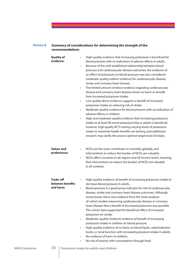#### **Summary of considerations for determining the strength of the recommendations Annex 8**

| <b>Quality of</b><br>evidence:                    | High-quality evidence that increasing potassium is beneficial for<br>$\bullet$<br>blood pressure with no indication of adverse effects in adults.<br>Because of the well-established relationship between blood<br>$\bullet$<br>pressure and cardiovascular disease outcomes, the evidence of<br>an effect of potassium on blood pressure was also considered<br>moderate-quality indirect evidence for cardiovascular disease,<br>stroke and coronary heart disease.<br>The limited amount of direct evidence regarding cardiovascular<br>$\bullet$<br>disease and coronary heart disease shows no harm or benefit<br>from increased potassium intake.<br>Low-quality direct evidence suggests a benefit of increased<br>$\bullet$<br>potassium intake on reducing risk of stroke.<br>Moderate-quality evidence for blood pressure with no indication of<br>$\bullet$<br>adverse effects in children.<br>High and moderate-quality evidence that increasing potassium<br>$\bullet$<br>intake to at least 90 mmol potassium/day in adults is beneficial;<br>however, high quality RCTs testing varying levels of potassium<br>intake to maximize health benefits are lacking, and additional<br>research may clarify the precise optimal target level of intake. |
|---------------------------------------------------|------------------------------------------------------------------------------------------------------------------------------------------------------------------------------------------------------------------------------------------------------------------------------------------------------------------------------------------------------------------------------------------------------------------------------------------------------------------------------------------------------------------------------------------------------------------------------------------------------------------------------------------------------------------------------------------------------------------------------------------------------------------------------------------------------------------------------------------------------------------------------------------------------------------------------------------------------------------------------------------------------------------------------------------------------------------------------------------------------------------------------------------------------------------------------------------------------------------------------------------------------------------|
| <b>Values and</b><br>preferences:                 | NCDs are the main contributor to mortality globally, and<br>$\bullet$<br>interventions to reduce the burden of NCDs are valuable.<br>NCDs affect countries in all regions and all income levels, meaning<br>$\bullet$<br>that interventions to reduce the burden of NCDs are valuable<br>in all contexts.                                                                                                                                                                                                                                                                                                                                                                                                                                                                                                                                                                                                                                                                                                                                                                                                                                                                                                                                                        |
| <b>Trade-off</b><br>between benefits<br>and harm: | High-quality evidence of benefit of increasing potassium intake to<br>$\bullet$<br>decrease blood pressure in adults.<br>Blood pressure is a good proxy indicator for risk of cardiovascular<br>$\bullet$<br>disease, stroke and coronary heart disease outcomes. Although<br>inconclusive, there was evidence from the meta-analyses<br>of cohort studies measuring cardiovascular disease or coronary<br>heart disease that a benefit of increased potassium was possible.<br>The cohort data supported the beneficial effect of increased<br>potassium on stroke.<br>Moderate-quality (indirect) evidence of benefit of increasing<br>$\bullet$<br>potassium intake in children on blood pressure.<br>High-quality evidence of no harm on blood lipids, catecholamine<br>levels, or renal function with increased potassium intake in adults.<br>No evidence of harm in children.<br>No risk of toxicity with consumption through food.<br>٠                                                                                                                                                                                                                                                                                                                  |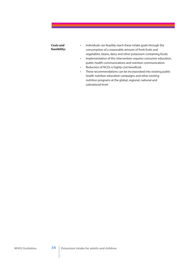## **Costs and feasibility:**

- Individuals can feasibly reach these intake goals through the consumption of a reasonable amount of fresh fruits and vegetables, beans, dairy and other potassium-containing foods.
- Implementation of this intervention requires consumer education, public health communications and nutrition communication.
- Reduction of NCDs is highly cost beneficial.
- These recommendations can be incorporated into existing public health nutrition education campaigns and other existing nutrition programs at the global, regional, national and subnational level.

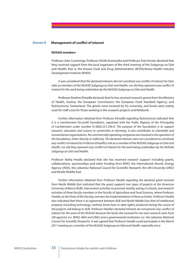## **Annex 9** Management of conflict of interest

#### **NUGAG members**

Professor John Cummings, Professor Shiriki Kumanyika and Professor Este Vorster declared that they received support from the local organizers of the third meeting of the Subgroup on Diet and Health; that is, the Korean Food and Drug Administration (KFDA)/Korea Health Industry Development Institute (KHIDI).

*It was considered that the declared interests did not constitute any con*"*ict of interest for their*  roles as members of the NUGAG Subgroup on Diet and Health, nor did they represent any conflict of *interest for the work being undertaken by the NUGAG Subgroup on Diet and Health.*

Professor Ibrahim Elmadfa declared that he has received research grants from the Ministry of Health, Austria; the European Commission; the European Food Standard Agency; and Nutrisciencia, Switzerland. The grants were received by his university, and funds were mainly used for staff costs for those working in the research projects and fieldwork.

*Further information obtained from Professor Elmadfa regarding Nutrisciencia indicated that it is a Liechtenstein for-profit foundation, registered with the Public Registry of the Principality of Liechtenstein under number FL-0002.251.294-8. The purpose of the foundation is to support research, education and science to universities in Germany. It also contributes to charitable and humanitarian organizations. No commercially operating companies are involved in the operation of the foundation, either directly or indirectly. The declared interests were not considered to constitute any con*"*ict of interest for Professor Elmadfa's role as a member of the NUGAG Subgroup on Diet and Health, nor did they represent any con*"*ict of interest for the work being undertaken by the NUGAG Subgroup on Diet and Health.*

Professor Nahla Hwalla declared that she has received research support including grants, collaborations, sponsorships and other funding from WHO, the International Atomic Energy Agency (IAEA), the Lebanese National Council for Scientific Research, the UN University (UNU) and Nestle Middle East.

*Further information obtained from Professor Hwalla regarding the declared grant received from Nestle Middle East indicated that the grant supports two types of projects at the American University of Beirut (AUB): intervention activities to promote healthy eating in schools, and research activities of three faculty members in the Faculty of Agriculture and Food Sciences, where Professor Hwalla, as the Dean of the Faculty, oversees the implementation of these activities. Professor Hwalla also indicated that there is an agreement between AUB and Nestle Middle East that all intellectual property (including technology, method, know-how or data rights) produced during the course of*  the projects will belong to AUB. Professor Hwalla's declared interests do not present any conflict of *interest for the work of the NUGAG because the funds she received for her own research were from UN agencies (i.e. WHO, IAEA and UNU) and a governmental institution (i.e. the Lebanese National Council for Scienti*!*c Research). It was agreed that Professor Hwalla could participate in the March 2011 meeting as a member of the NUGAG Subgroup on Diet and Health, especially since:*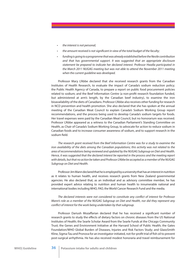- *• the interest is not personal;*
- *• the amount received is not signi*!*cant in view of the total budget of the faculty;*
- *• funding is going to a programme that was already established before the Nestle contribution and that has governmental support. It was suggested that an appropriate disclosure statement be prepared to indicate her declared interest. Professor Hwalla participated in the March 2011 NUGAG meeting but was not able to attend the November 2011 meeting when the current guideline was developed.*

Professor Mary L'Abbe declared that she received research grants from the Canadian Institutes of Health Research, to evaluate the impact of Canada's sodium reduction policy; the Public Health Agency of Canada, to prepare a report on public food procurement policies related to sodium; and the Beef Information Centre (a non-profit research foundation funded, but administered at arm's length, by the Canadian beef industry), to examine the iron bioavailability of the diets of Canadians. Professor L'Abbe also receives other funding for research in NCD prevention and health promotion. She also declared that she has spoken at the annual meeting of the Canadian Meat Council to explain Canada's Sodium Working Group report recommendations, and the process being used to develop Canada's sodium targets for foods. Her travel expenses were paid by the Canadian Meat Council, but no honorarium was received. Professor L'Abbe appeared as a witness to the Canadian Parliament's Standing Committee on Health, as Chair of Canada's Sodium Working Group, to advocate for action to reduce sodium in Canadian foods and to increase consumer awareness of sodium, and to support research in the sodium field.

*The research grant received from the Beef Information Centre was for a study to examine the iron availability of the diets among the Canadian populations; this activity was not related to the area of recommendations being reviewed and updated by the NUGAG Subgroup on Diet and Health. Hence, it was suggested that the declared interest be reported in the process and the meeting report with details, but that no action be taken and Professor L'Abbe be accepted as a member of the NUGAG Subgroup on Diet and Health.*

Professor Jim Mann declared that he is employed by a university that has an interest in nutrition as it relates to human health, and receives research grants from New Zealand governmental agencies. He also declared that, as an individual and as advisory committee member, he has provided expert advice relating to nutrition and human health to innumerable national and international bodies including WHO, FAO, the World Cancer Research Fund and the media.

*The declared interests were not considered to constitute any con*"*ict of interest for Professor Mann's role as a member of the NUGAG Subgroup on Diet and Health, nor did they represent any con*"*ict of interest for the work being undertaken by that subgroup.*

Professor Dariush Mozaffarian declared that he has received a significant number of research grants to study the effects of dietary factors on chronic diseases from the US National Institutes of Health; the Searle Scholar Award from the Searle Funds at the Chicago Community Trust; the Genes and Environment Initiative at the Harvard School of Public Health; the Gates Foundation/WHO Global Burden of Diseases, Injuries and Risk Factors Study; and GlaxoSmith Kline, Sigma-Tau and Pronova for an investigator-initiated, not-for-profit trial of fish oil to prevent post-surgical arrhythmia. He has also received modest honoraria and travel reimbursement for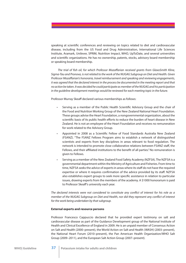speaking at scientific conferences and reviewing on topics related to diet and cardiovascular disease, including from the US Food and Drug Administration, International Life Sciences Institute, Aramark, Unilever, SPRIM, Nutrition Impact, WHO, UpToDate, and several universities and scientific organizations. He has no ownership, patents, stocks, advisory board membership or speaking board membership.

*The trial of* !*sh oil, for which Professor Moza*#*arian received grants from GlaxoSmith Kline, Sigma-Tau and Pronova, is not related to the work of the NUGAG Subgroup on Diet and Health. Given Professor Moza*#*arian's honoraria, travel reimbursement and speaking and reviewing engagements, it was agreed that the declared interest in the process be documented in the meeting report and that no action be taken. It was decided he could participate as member of the NUGAG and his participation in the guideline development meetings would be reviewed for each meeting topic in the future.*

Professor Murray Skeaff declared various memberships as follows:

- Serving as a member of the Public Health Scientific Advisory Group and the chair of the Food and Nutrition Working Group of the New Zealand National Heart Foundation. These groups advise the Heart Foundation, a nongovernmental organization, about the scientific basis of its public health efforts to reduce the burden of heart disease in New Zealand. He is not an employee of the Heart Foundation and receives no remuneration for work related to the Advisory Group.
- Appointed in 2008 as a Scientific Fellow of Food Standards Australia New Zealand (FSANZ). "The FSANZ Fellows Program aims to establish a network of distinguished scientists and experts from key disciplines in areas relevant to food regulation. The network is intended to promote close collaborative relations between FSANZ staff, the Fellows, and their affiliated institutions to the benefit of all parties." No remuneration is given to Fellows.
- Serving as a member of the New Zealand Food Safety Academy (NZFSA). The NZFSA is a governmental department within the Ministry of Agriculture and Fisheries. From time to time, NZFSA seeks the advice of experts in areas where its staff do not have the required expertise or where it requires confirmation of the advice provided by its staff. NZFSA also establishes expert groups to seek more specific assistance in relation to particular issues, drawing experts from the members of the academy. A \$1000 honorarium is paid to Professor Skeaff's university each year.

*The declared interests were not considered to constitute any con*"*ict of interest for his role as a member of the NUGAG Subgroup on Diet and Health, nor did they represent any conflict of interest for the work being undertaken by that subgroup.*

## **External experts and resource persons**

Professor Francesco Cappuccio declared that he provided expert testimony on salt and cardiovascular disease as part of the Guidance Development group of the National Institute of Health and Clinical Excellence of England in 2009. He is an unpaid member of Consensus Action on Salt and Health (2000–present), the World Action on Salt and Health (WASH) (2003–present), the National Heart Forum (2010–present), the Pan American Health Organization/WHO Salt Group (2009–2011), and the European Salt Action Group (2007–present).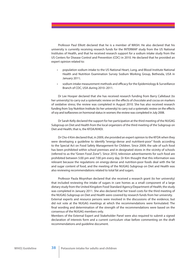Professor Paul Elliott declared that he is a member of WASH. He also declared that his university is currently receiving research funds for the INTERMAP study from the US National Institutes of Health, and that he received research support for a sodium intake study from the US Centers for Disease Control and Prevention (CDC) in 2010. He declared that he provided an expert opinion related to:

- population sodium intake to the US National Heart, Lung, and Blood Institute National Health and Nutrition Examination Survey Sodium Working Group, Bethesda, USA in January 2011;
- sodium intake measurement methods and efficacy for the Epidemiology & Surveillance Branch of CDC, USA during 2010–2011.

Dr Lee Hooper declared that she has received research funding from Barry Callebaut (to her university) to carry out a systematic review on the effects of chocolate and cocoa on markers of oxidative stress; the review was completed in August 2010. She has also received research funding from Soy Nutrition Institute (to her university) to carry out a systematic review on the effects of soy and isoflavones on hormonal status in women; the review was completed in July 2008.

Dr Sarah Kelly declared the support for her participation at the third meeting of the NUGAG Subgroup on Diet and Health from the local organizers of the third meeting of the Subgroup on Diet and Health; that is, the KFDA/KHIDI.

Dr Cho-il Kim declared that, in 2009, she provided an expert opinion to the KFDA when they were developing a guideline to identify "energy-dense and nutritient-poor" foods according to the Special Act on Food Safety Management for Children. Since 2009, the sale of such food has been prohibited within school premises and in designated stores in the vicinity of schools (referred to as the "Green Food Zone"). Since 2010, television advertisements for such food are prohibited between 5:00 pm and 7:00 pm every day. Dr Kim thought that this information was relevant because the regulations on energy-dense and nutrition-poor foods deal with the fat and sugar content of food, and the meeting of the NUGAG Subgroup on Diet and Health was also reviewing recommendations related to total fat and sugars.

Professor Paula Moynihan declared that she received a research grant (to her university) that included reviewing the intake of sugars in care homes as a small component of a large dietary study from the United Kingdom Food Standard Agency/Department of Health; the study was completed in January 2011. She also declared that her travel costs for the third meeting of the NUGAG Subgroup on Diet and Health were covered by research funds from her university. External experts and resource persons were involved in the discussions of the evidence, but did not vote at the NUGAG meetings at which the recommendations were formulated. The final wording and determination of the strength of the recommendations were based on the consensus of the NUGAG members only.

Members of the External Expert and Stakeholder Panel were also required to submit a signed declaration of interests form and a current curriculum vitae before commenting on the draft recommendations and guideline document.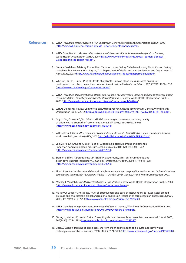#### **References**

- 1. WHO. *Preventing chronic disease: a vital investment*. Geneva, World Health Organization (WHO), 2005 (http://www.who.int/chp/chronic\_disease\_report/contents/en/index.html).
- 2. WHO. *Global health risks: Mortality and burden of disease attributable to selected major risks*. Geneva, World Health Organization (WHO), 2009 (http://www.who.int/healthinfo/global\_burden\_disease/ GlobalHealthRisks\_report\_full.pdf).
- 3. Dietary Guidelines Advisory Committee. *The report of the Dietary Guidelines Advisory Committee on Dietary Guidelines for Americans*. Washington, D.C., Department of Health and Human Services and Department of Agriculture, 2005 (http://www.health.gov/dietaryguidelines/dga2005/report/default.htm).
- 4. Whelton PK, He J, Cutler JA et al. Effects of oral potassium on blood pressure. Meta-analysis of randomized controlled clinical trials. *Journal of the American Medical Association*, 1997, 277(20):1624–1632 (http://www.ncbi.nlm.nih.gov/pubmed/9168293).
- 5. WHO. *Prevention of recurrent heart attacks and strokes in low and middle income populations: Evidence-based recommendations for policy makers and health professionals*. Geneva, World Health Organization (WHO), 2003 (http://www.who.int/cardiovascular\_diseases/resources/pub0402/en/).
- 6. WHO's Guidelines Review Committee. *WHO Handbook for guideline development*. Geneva, World Health Organization (WHO), 2012 (http://apps.who.int/iris/bitstream/10665/75146/1/9789241548441\_eng.pdf).
- 7. Guyatt GH, Oxman AD, Vist GE et al. GRADE: an emerging consensus on rating quality of evidence and strength of recommendations. *BMJ*, 2008, 336(7650):924–926 (http://www.ncbi.nlm.nih.gov/pubmed/18436948).
- 8. WHO. Diet, nutrition and the prevention of chronic disease. Report of a Joint WHO/FAO Expert Consultation. Geneva, World Health Organization (WHO), 2003 (http://whqlibdoc.who.int/trs/WHO\_TRS\_916.pdf ).
- 9. van Mierlo LA, Greyling A, Zock PL et al. Suboptimal potassium intake and potential impact on population blood pressure. *Arch Intern Med*, 2010, 170(16):1501–1502 (http://www.ncbi.nlm.nih.gov/pubmed/20837839).
- 10. Stamler J, Elliott P, Dennis B et al. INTERMAP: background, aims, design, methods, and descriptive statistics (nondietary). *Journal of Human Hypertension*, 2003, 17(9):591–608 (http://www.ncbi.nlm.nih.gov/pubmed/13679950).
- 11. Elliott P. *Sodium intakes around the world. Background document prepared for the Forum and Technical meeting on Reducing Salt Intake in Populations (Paris 5–7 October 2006).* Geneva, World Health Organization, 2007.
- 12. Mackay J, Mensah G. *The Atlas of Heart Disease and Stroke*. Geneva, World Health Organization (WHO), 2004 (http://www.who.int/cardiovascular\_diseases/resources/atlas/en/).
- 13. Murray CJ, Lauer JA, Hutubessy RC et al. Effectiveness and costs of interventions to lower systolic blood pressure and cholesterol: a global and regional analysis on reduction of cardiovascular-disease risk. *Lancet,* 2003, 361(9359):717–725 (http://www.ncbi.nlm.nih.gov/pubmed/12620735).
- 14. WHO. *Global status report on noncommunicable diseases.* Geneva, World Health Organization (WHO), 2010 (http://whqlibdoc.who.int/publications/2011/9789240686458\_eng.pdf).
- 15. Strong K, Mathers C, Leeder S et al. Preventing chronic diseases: how many lives can we save? *Lancet*, 2005, 366(9496):1578–1582 (http://www.ncbi.nlm.nih.gov/pubmed/16257345).
- 16. Chen X, Wang Y. Tracking of blood pressure from childhood to adulthood: a systematic review and meta-regression analysis. *Circulation*, 2008, 117(25):3171–3180 (http://www.ncbi.nlm.nih.gov/pubmed/18559702).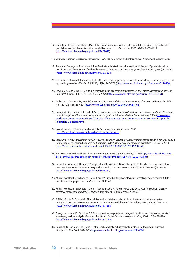- 17. Daniels SR, Loggie JM, Khoury P et al. Left ventricular geometry and severe left ventricular hypertrophy in children and adolescents with essential hypertension. *Circulation*, 1998, 97(19):1907–1911 (http://www.ncbi.nlm.nih.gov/pubmed/9609083).
- 18. Young DB. *Role of potassium in preventive cardiovascular medicine*. Boston, Kluwer Academic Publishers, 2001.
- 19. American College of Sports Medicine, Sawka MN, Burke LM et al. American College of Sports Medicine position stand. Exercise and #uid replacement. *Medicine and Science in Sports Exercise*, 2007, 39(2):377–390 (http://www.ncbi.nlm.nih.gov/pubmed/17277604).
- 20. Fukumoto T, Tanaka T, Fujioka H et al. Differences in composition of sweat induced by thermal exposure and by running exercise. *Clin Cardiol*, 1988, 11(10):707–709 (http://www.ncbi.nlm.nih.gov/pubmed/3224454).
- 21. Sawka MN, Montain SJ. Fluid and electrolyte supplementation for exercise heat stress. *American Journal of Clinical Nutrition*, 2000, 72(2 Suppl):564S–572S (http://www.ncbi.nlm.nih.gov/pubmed/10919961).
- 22. Webster JL, Dunford EK, Neal BC. A systematic survey of the sodium contents of processed foods. *Am J Clin Nutr*, 2010, 91(2):413-420 (http://www.ncbi.nlm.nih.gov/pubmed/19955402).
- 23. Bourges H, Casanueva E, Rosado J. *Recomendaciones de ingestion de nutrimentos para la poblacion Mexicana. Bases* !*siologicas. Vitaminas e nutrimentos inorganicos*. Editorial Medica Panamericana, 2004 (http://www. medicapanamericana.com/Libros/Libro/4014/Recomendaciones-de-Ingestion-de-Nutrimentos-para-la-Poblacion-Mexicana.html).
- 24. Expert Group on Vitamins and Minerals. *Revised review of potassium*. 2002 (http://www.food.gov.uk/multimedia/pdfs/potassium.pdf).
- 25. *Ingestas Dietéticas De Referencia (IDR) Para la Población Española [Dietary reference intakes (DRI) for the Spanish population].* Federación Española de Sociedades de Nutrición, Alimentación y Dietética (FESNAD), 2010 (http://www.grep-aedn.es/documentos/Act\_Diet.2010;14%284%29196-197.pdf).
- 26. Hoge Gezondheidsraad. *Voedingsaanbevelingen voor België. Herziening*. 2009 (http://www.health.belgium. be/internet2Prd/groups/public/@public/@shc/documents/ie2divers/12352470.pdf).
- 27. Intersalt Cooperative Research Group. Intersalt: an international study of electrolyte excretion and blood pressure. Results for 24 hour urinary sodium and potassium excretion. *BMJ*, 1988, 297(6644):319–328 (http://www.ncbi.nlm.nih.gov/pubmed/3416162).
- 28. Ministry of Health. Ordinance No. 23 from 19 July 2005 for physiological normative requirement (DRI) for nutrition of the population. *State Gazette*, 2005, 63.
- 29. Ministry of Health & Welfare, Korean Nutrition Society, Korean Food and Drug Administration. *Dietary reference intakes for Koreans*. *1st revision*. Ministry of Health & Welfare, 2010.
- 30. D'Elia L, Barba G, Cappuccio FP et al. Potassium intake, stroke, and cardiovascular disease a metaanalysis of prospective studies. Journal of the American College of Cardiology, 2011, 57(10):1210–1219 (http://www.ncbi.nlm.nih.gov/pubmed/21371638).
- 31. Geleijnse JM, Kok FJ, Grobbee DE. Blood pressure response to changes in sodium and potassium intake: a metaregression analysis of randomised trials. *Journal of Human Hypertension*, 2003, 17(7):471–480 (http://www.ncbi.nlm.nih.gov/pubmed/12821954).
- 32. Rabelink TJ, Koomans HA, Hene RJ et al. Early and late adjustment to potassium loading in humans. *Kidney Int,* 1990, 38(5):942–947 (http://www.ncbi.nlm.nih.gov/pubmed/2266680).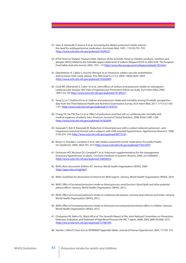- 33. Siani A, Strazzullo P, Giacco A et al. Increasing the dietary potassium intake reduces the need for antihypertensive medication. *Ann Intern Med*, 1991, 115(10):753–759 (http://www.ncbi.nlm.nih.gov/pubmed/1929022).
- 34. EFSA Panel on Dietetic Products NaA. Opinion of the Scientific Panel on Dietetic products, nutrition and allergies [NDA] related to the tolerable upper intake level of sodium (Request EFSA-Q-2003-018). *The European Food Safety Authority Journal*, 2005, 193:1–19 (http://www.efsa.europa.eu/en/efsajournal/pub/193.htm).
- 35. Oberleithner H, Callies C, Kusche-Vihrog K et al. Potassium softens vascular endothelium and increases nitric oxide release. *Proc Natl Acad Sci U S A*, 2009, 106(8):2829–2834 (http://www.ncbi.nlm.nih.gov/pubmed/19202069).
- 36. Cook NR, Obarzanek E, Cutler JA et al. Joint effects of sodium and potassium intake on subsequent cardiovascular disease: the Trials of Hypertension Prevention follow-up study. *Arch Intern Med*, 2009, 169(1):32–40 (http://www.ncbi.nlm.nih.gov/pubmed/19139321).
- 37. Yang Q, Liu T, Kuklina EV et al. Sodium and potassium intake and mortality among US adults: prospective data from the Third National Health and Nutrition Examination Survey. *Arch Intern Med*, 2011, 171(13):1183– 1191 (http://www.ncbi.nlm.nih.gov/pubmed/21747015).
- 38. Chang HY, Hu YW, Yue CS et al. Effect of potassium-enriched salt on cardiovascular mortality and medical expenses of elderly men. *American Journal of Clinical Nutrition*, 2006, 83(6):1289–1296 (http://www.ncbi.nlm.nih.gov/pubmed/16762939).
- 39. Kawasaki T, Itoh K, Kawasaki M. Reduction in blood pressure with a sodium-reduced, potassium- and magnesium-enriched mineral salt in subjects with mild essential hypertension. *Hypertension Research*, 1998, 21(4):235–243 (http://www.ncbi.nlm.nih.gov/pubmed/9877516).
- 40. Brown IJ, Tzoulaki I, Candeias V et al. Salt intakes around the world: implications for public health. *Int J Epidemiol*, 2009, 38(3):791–813 (http://www.ncbi.nlm.nih.gov/pubmed/19351697).
- 41. Dickinson HO, Nicolson DJ, Campbell F et al. Potassium supplementation for the management of primary hypertension in adults. *Cochrane Database of Systemic Reviews,* 2006, (3):CD004641 (http://www.ncbi.nlm.nih.gov/pubmed/16856053).
- 42. WHO. *Basic documents (Edition 47)*. Geneva, World Health Organization (WHO), 2009 (http://apps.who.int/gb/bd/).
- 43. WHO. *Guidelines for declaration of interests for WHO experts*. Geneva, World Health Organization (WHO), 2010
- 44. WHO. *E*#*ect of increased potassium intake on blood pressure, renal function, blood lipids and other potential adverse e*#*ects*. Geneva, World Health Organization (WHO), 2012.
- 45. WHO. *E*#*ect of increased potassium intake on cardiovascular disease, coronary heart disease and stroke*. Geneva, World Health Organization (WHO), 2012.
- 46. WHO. *E*#*ect of increased potassium intake on blood pressure and potential adverse e*#*ects in children*. Geneva, World Health Organization (WHO), 2012.
- 47. Chobanian AV, Bakris GL, Black HR et al. The Seventh Report of the Joint National Committee on Prevention, Detection, Evaluation, and Treatment of High Blood Pressure: the JNC 7 report. *JAMA*, 2003, 289(19):2560–2572 (http://www.ncbi.nlm.nih.gov/pubmed/12748199).
- 48. Stamler J, Elliot P, Chan Q et al. INTERMAP Appendix Tables. Journal of Human *Hypertension*, 2003, 17:759–775.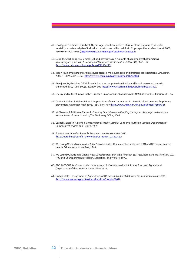- 49. Lewington S, Clarke R, Qizilbash N et al. Age-specific relevance of usual blood pressure to vascular mortality: a meta-analysis of individual data for one million adults in 61 prospective studies. *Lancet,* 2002, 360(9349):1903–1913 (http://www.ncbi.nlm.nih.gov/pubmed/12493255).
- 50. Desai M, Stockbridge N, Temple R. Blood pressure as an example of a biomarker that functions as a surrogate. *American Association of Pharmaceutical Scientists*, 2006, 8(1):E146–152 (http://www.ncbi.nlm.nih.gov/pubmed/16584122).
- 51. Vasan RS. Biomarkers of cardiovascular disease: molecular basis and practical considerations. *Circulation*, 2006, 113(19):2335–2362 (http://www.ncbi.nlm.nih.gov/pubmed/16702488).
- 52. Geleijnse JM, Grobbee DE, Hofman A. Sodium and potassium intake and blood pressure change in childhood. *BMJ*, 1990, 300(6729):899–902 (http://www.ncbi.nlm.nih.gov/pubmed/2337712).
- 53. Energy and nutrient intake in the European Union. *Annals of Nutrition and Metabolism*, 2004, 48(Suppl 2):1–16.
- 54. Cook NR, Cohen J, Hebert PR et al. Implications of small reductions in diastolic blood pressure for primary prevention. *Arch Intern Med*, 1995, 155(7):701-709 (http://www.ncbi.nlm.nih.gov/pubmed/7695458).
- 55. McPherson K, Britton A, Causer L. *Coronary heart disease: estimating the impact of changes in risk factors. National Heart Forum. Norwich, The Stationery Office, 2002.*
- 56. Cashel K, English R, Lewis J. *Composition of foods Australia*. Canberra, Nutrition Section, Department of Community Services and Health, 1989.
- 57. *Food composition databases for European member countries.* 2012 (http://eurofir.net/eurofir\_knowledge/european\_databases).
- 58. Wu Leung W. *Food composition table for use in Africa*. Rome and Bethesda, MD, FAO and US Department of Health, Education, and Welfare, 1968.
- 59. Wu Leung W, Butrum R, Chang F et al. *Food composition table for use in East Asia*. Rome and Washington, D.C., FAO and US Department of Health, Education, and Welfare, 1972.
- 60. FAO. *INFOODS food composition database for biodiversity, version 1.1.* Rome, Food and Agricultural Organization of the United Nations (FAO), 2011.
- 61. United States Department of Agriculture. *USDA national nutrient database for standard reference*. 2011 (http://www.ars.usda.gov/Services/docs.htm?docid=8964).